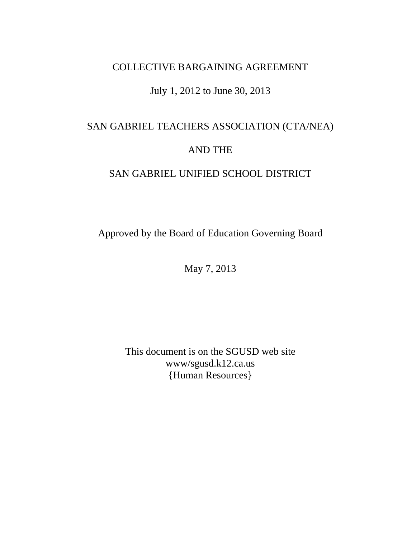# COLLECTIVE BARGAINING AGREEMENT

# July 1, 2012 to June 30, 2013

# SAN GABRIEL TEACHERS ASSOCIATION (CTA/NEA) AND THE

# SAN GABRIEL UNIFIED SCHOOL DISTRICT

Approved by the Board of Education Governing Board

May 7, 2013

This document is on the SGUSD web site www/sgusd.k12.ca.us {Human Resources}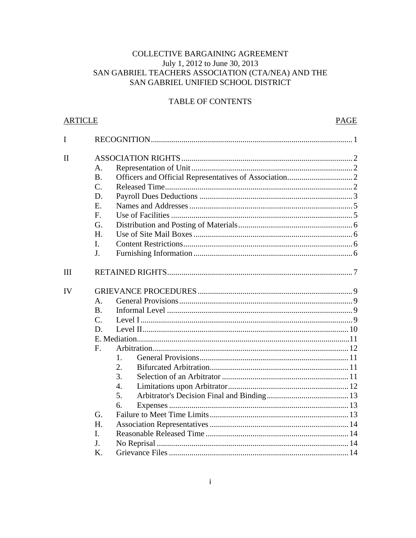# COLLECTIVE BARGAINING AGREEMENT July 1, 2012 to June 30, 2013 SAN GABRIEL TEACHERS ASSOCIATION (CTA/NEA) AND THE SAN GABRIEL UNIFIED SCHOOL DISTRICT

# **TABLE OF CONTENTS**

| <u>ARTICLE</u> |                |    | PAGE |
|----------------|----------------|----|------|
| I              |                |    |      |
| $\mathbf{I}$   |                |    |      |
|                | A.             |    |      |
|                | <b>B.</b>      |    |      |
|                | $C$ .          |    |      |
|                | D.             |    |      |
|                | E.             |    |      |
|                | F.             |    |      |
|                | G.             |    |      |
|                | H.             |    |      |
|                | I.             |    |      |
|                | J <sub>1</sub> |    |      |
| <b>III</b>     |                |    |      |
| IV             |                |    |      |
|                | $\mathsf{A}$ . |    |      |
|                | <b>B.</b>      |    |      |
|                | $C_{\cdot}$    |    |      |
|                | D.             |    |      |
|                |                |    |      |
|                | $F_{\cdot}$    |    |      |
|                |                | 1. |      |
|                |                | 2. |      |
|                |                | 3. |      |
|                |                | 4. |      |
|                |                | 5. |      |
|                |                | 6. |      |
|                | G.             |    |      |
|                | H.             |    |      |
|                | I.             |    |      |
|                | J.             |    |      |
|                | K.             |    |      |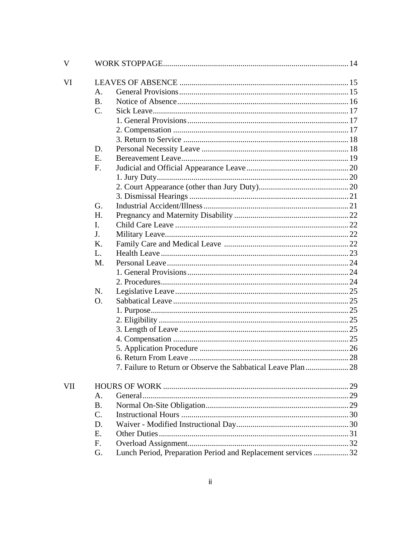| V   |                |                                                               |  |
|-----|----------------|---------------------------------------------------------------|--|
| VI  |                |                                                               |  |
|     | A.             |                                                               |  |
|     | <b>B.</b>      |                                                               |  |
|     | $C_{\cdot}$    |                                                               |  |
|     |                |                                                               |  |
|     |                |                                                               |  |
|     |                |                                                               |  |
|     | D.             |                                                               |  |
|     | E.             |                                                               |  |
|     | F.             |                                                               |  |
|     |                |                                                               |  |
|     |                |                                                               |  |
|     |                |                                                               |  |
|     | G.             |                                                               |  |
|     | H.             |                                                               |  |
|     | L.             |                                                               |  |
|     | J <sub>r</sub> |                                                               |  |
|     | K.             |                                                               |  |
|     | L.             |                                                               |  |
|     | M.             |                                                               |  |
|     |                |                                                               |  |
|     |                |                                                               |  |
|     | N.             |                                                               |  |
|     | O.             |                                                               |  |
|     |                |                                                               |  |
|     |                |                                                               |  |
|     |                |                                                               |  |
|     |                |                                                               |  |
|     |                |                                                               |  |
|     |                |                                                               |  |
|     |                | 7. Failure to Return or Observe the Sabbatical Leave Plan  28 |  |
| VII |                |                                                               |  |
|     | A.             |                                                               |  |
|     | <b>B.</b>      |                                                               |  |
|     | $C_{\cdot}$    |                                                               |  |
|     | D.             |                                                               |  |
|     | E.             |                                                               |  |
|     | F.             |                                                               |  |
|     | G.             | Lunch Period, Preparation Period and Replacement services  32 |  |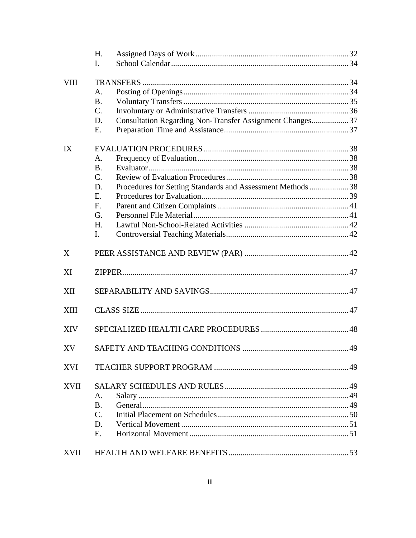|             | H.                                                                |  |
|-------------|-------------------------------------------------------------------|--|
|             | I.                                                                |  |
| <b>VIII</b> |                                                                   |  |
|             | A.                                                                |  |
|             | <b>B.</b>                                                         |  |
|             | $\mathcal{C}$ .                                                   |  |
|             | Consultation Regarding Non-Transfer Assignment Changes 37<br>D.   |  |
|             | E.                                                                |  |
| IX          |                                                                   |  |
|             | A <sub>1</sub>                                                    |  |
|             | <b>B.</b>                                                         |  |
|             | $C_{\cdot}$                                                       |  |
|             | Procedures for Setting Standards and Assessment Methods  38<br>D. |  |
|             | E.                                                                |  |
|             | $F_{\cdot}$                                                       |  |
|             | G <sub>r</sub>                                                    |  |
|             | H.                                                                |  |
|             | I.                                                                |  |
| X           |                                                                   |  |
| XI          |                                                                   |  |
| <b>XII</b>  |                                                                   |  |
| <b>XIII</b> |                                                                   |  |
| <b>XIV</b>  |                                                                   |  |
| XV          |                                                                   |  |
| <b>XVI</b>  |                                                                   |  |
| XVII        |                                                                   |  |
|             | A.                                                                |  |
|             | <b>B.</b>                                                         |  |
|             | $C_{\cdot}$                                                       |  |
|             | D.                                                                |  |
|             | Е.                                                                |  |
| XVII        |                                                                   |  |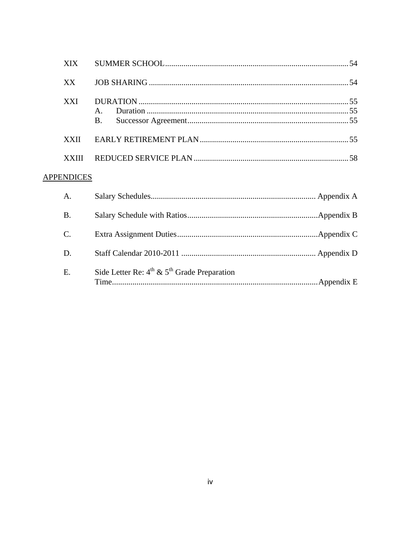| XX           |           |  |
|--------------|-----------|--|
| <b>XXI</b>   | <b>B.</b> |  |
| <b>XXII</b>  |           |  |
| <b>XXIII</b> |           |  |
|              |           |  |

# **APPENDICES**

| A <sub>1</sub> |                                                       |  |
|----------------|-------------------------------------------------------|--|
| <b>B.</b>      |                                                       |  |
| $C_{\cdot}$    |                                                       |  |
| D.             |                                                       |  |
| E.             | Side Letter Re: $4^{th}$ & $5^{th}$ Grade Preparation |  |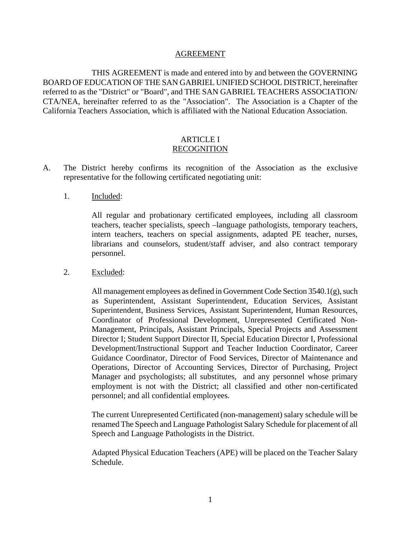#### AGREEMENT

THIS AGREEMENT is made and entered into by and between the GOVERNING BOARD OF EDUCATION OF THE SAN GABRIEL UNIFIED SCHOOL DISTRICT, hereinafter referred to as the "District" or "Board", and THE SAN GABRIEL TEACHERS ASSOCIATION/ CTA/NEA, hereinafter referred to as the "Association". The Association is a Chapter of the California Teachers Association, which is affiliated with the National Education Association.

### ARTICLE I RECOGNITION

- A. The District hereby confirms its recognition of the Association as the exclusive representative for the following certificated negotiating unit:
	- 1. Included:

All regular and probationary certificated employees, including all classroom teachers, teacher specialists, speech –language pathologists, temporary teachers, intern teachers, teachers on special assignments, adapted PE teacher, nurses, librarians and counselors, student/staff adviser, and also contract temporary personnel.

2. Excluded:

All management employees as defined in Government Code Section 3540.1(g), such as Superintendent, Assistant Superintendent, Education Services, Assistant Superintendent, Business Services, Assistant Superintendent, Human Resources, Coordinator of Professional Development, Unrepresented Certificated Non-Management, Principals, Assistant Principals, Special Projects and Assessment Director I; Student Support Director II, Special Education Director I, Professional Development/Instructional Support and Teacher Induction Coordinator, Career Guidance Coordinator, Director of Food Services, Director of Maintenance and Operations, Director of Accounting Services, Director of Purchasing, Project Manager and psychologists; all substitutes, and any personnel whose primary employment is not with the District; all classified and other non-certificated personnel; and all confidential employees.

The current Unrepresented Certificated (non-management) salary schedule will be renamed The Speech and Language Pathologist Salary Schedule for placement of all Speech and Language Pathologists in the District.

Adapted Physical Education Teachers (APE) will be placed on the Teacher Salary Schedule.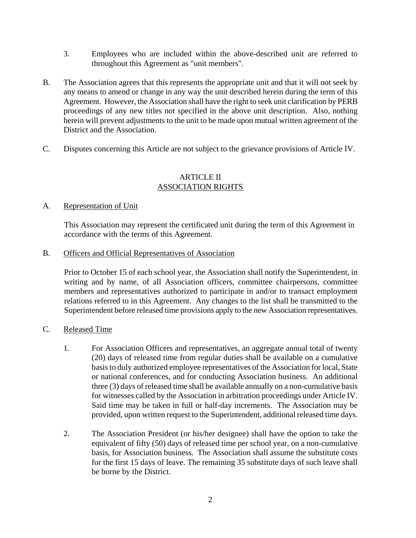- 3. Employees who are included within the above-described unit are referred to throughout this Agreement as "unit members".
- B. The Association agrees that this represents the appropriate unit and that it will not seek by any means to amend or change in any way the unit described herein during the term of this Agreement. However, the Association shall have the right to seek unit clarification by PERB proceedings of any new titles not specified in the above unit description. Also, nothing herein will prevent adjustments to the unit to be made upon mutual written agreement of the District and the Association.
- C. Disputes concerning this Article are not subject to the grievance provisions of Article IV.

# ARTICLE II ASSOCIATION RIGHTS

# A. Representation of Unit

This Association may represent the certificated unit during the term of this Agreement in accordance with the terms of this Agreement.

B. Officers and Official Representatives of Association

Prior to October 15 of each school year, the Association shall notify the Superintendent, in writing and by name, of all Association officers, committee chairpersons, committee members and representatives authorized to participate in and/or to transact employment relations referred to in this Agreement. Any changes to the list shall be transmitted to the Superintendent before released time provisions apply to the new Association representatives.

# C. Released Time

- 1. For Association Officers and representatives, an aggregate annual total of twenty (20) days of released time from regular duties shall be available on a cumulative basis to duly authorized employee representatives of the Association for local, State or national conferences, and for conducting Association business. An additional three (3) days of released time shall be available annually on a non-cumulative basis for witnesses called by the Association in arbitration proceedings under Article IV. Said time may be taken in full or half-day increments. The Association may be provided, upon written request to the Superintendent, additional released time days.
- 2. The Association President (or his/her designee) shall have the option to take the equivalent of fifty (50) days of released time per school year, on a non-cumulative basis, for Association business. The Association shall assume the substitute costs for the first 15 days of leave. The remaining 35 substitute days of such leave shall be borne by the District.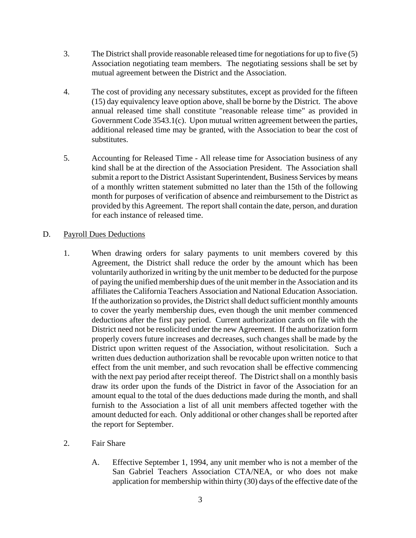- 3. The District shall provide reasonable released time for negotiations for up to five (5) Association negotiating team members. The negotiating sessions shall be set by mutual agreement between the District and the Association.
- 4. The cost of providing any necessary substitutes, except as provided for the fifteen (15) day equivalency leave option above, shall be borne by the District. The above annual released time shall constitute "reasonable release time" as provided in Government Code 3543.1(c). Upon mutual written agreement between the parties, additional released time may be granted, with the Association to bear the cost of substitutes.
- 5. Accounting for Released Time All release time for Association business of any kind shall be at the direction of the Association President. The Association shall submit a report to the District Assistant Superintendent, Business Services by means of a monthly written statement submitted no later than the 15th of the following month for purposes of verification of absence and reimbursement to the District as provided by this Agreement. The report shall contain the date, person, and duration for each instance of released time.

# D. Payroll Dues Deductions

- 1. When drawing orders for salary payments to unit members covered by this Agreement, the District shall reduce the order by the amount which has been voluntarily authorized in writing by the unit member to be deducted for the purpose of paying the unified membership dues of the unit member in the Association and its affiliates the California Teachers Association and National Education Association. If the authorization so provides, the District shall deduct sufficient monthly amounts to cover the yearly membership dues, even though the unit member commenced deductions after the first pay period. Current authorization cards on file with the District need not be resolicited under the new Agreement. If the authorization form properly covers future increases and decreases, such changes shall be made by the District upon written request of the Association, without resolicitation. Such a written dues deduction authorization shall be revocable upon written notice to that effect from the unit member, and such revocation shall be effective commencing with the next pay period after receipt thereof. The District shall on a monthly basis draw its order upon the funds of the District in favor of the Association for an amount equal to the total of the dues deductions made during the month, and shall furnish to the Association a list of all unit members affected together with the amount deducted for each. Only additional or other changes shall be reported after the report for September.
- 2. Fair Share
	- A. Effective September 1, 1994, any unit member who is not a member of the San Gabriel Teachers Association CTA/NEA, or who does not make application for membership within thirty (30) days of the effective date of the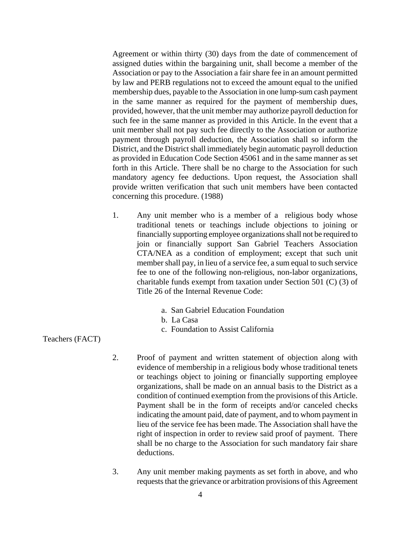Agreement or within thirty (30) days from the date of commencement of assigned duties within the bargaining unit, shall become a member of the Association or pay to the Association a fair share fee in an amount permitted by law and PERB regulations not to exceed the amount equal to the unified membership dues, payable to the Association in one lump-sum cash payment in the same manner as required for the payment of membership dues, provided, however, that the unit member may authorize payroll deduction for such fee in the same manner as provided in this Article. In the event that a unit member shall not pay such fee directly to the Association or authorize payment through payroll deduction, the Association shall so inform the District, and the District shall immediately begin automatic payroll deduction as provided in Education Code Section 45061 and in the same manner as set forth in this Article. There shall be no charge to the Association for such mandatory agency fee deductions. Upon request, the Association shall provide written verification that such unit members have been contacted concerning this procedure. (1988)

- 1. Any unit member who is a member of a religious body whose traditional tenets or teachings include objections to joining or financially supporting employee organizations shall not be required to join or financially support San Gabriel Teachers Association CTA/NEA as a condition of employment; except that such unit member shall pay, in lieu of a service fee, a sum equal to such service fee to one of the following non-religious, non-labor organizations, charitable funds exempt from taxation under Section 501 (C) (3) of Title 26 of the Internal Revenue Code:
	- a. San Gabriel Education Foundation
	- b. La Casa
	- c. Foundation to Assist California

Teachers (FACT)

- 2. Proof of payment and written statement of objection along with evidence of membership in a religious body whose traditional tenets or teachings object to joining or financially supporting employee organizations, shall be made on an annual basis to the District as a condition of continued exemption from the provisions of this Article. Payment shall be in the form of receipts and/or canceled checks indicating the amount paid, date of payment, and to whom payment in lieu of the service fee has been made. The Association shall have the right of inspection in order to review said proof of payment. There shall be no charge to the Association for such mandatory fair share deductions.
- 3. Any unit member making payments as set forth in above, and who requests that the grievance or arbitration provisions of this Agreement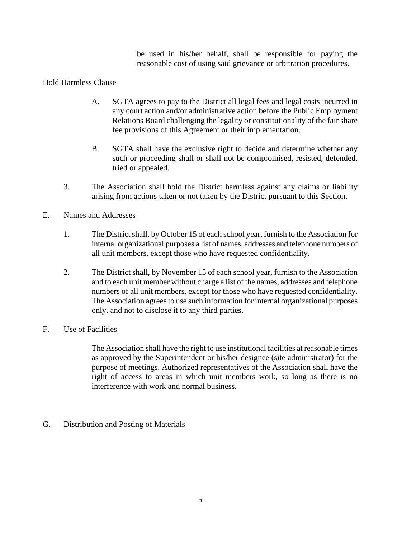be used in his/her behalf, shall be responsible for paying the reasonable cost of using said grievance or arbitration procedures.

# Hold Harmless Clause

- A. SGTA agrees to pay to the District all legal fees and legal costs incurred in any court action and/or administrative action before the Public Employment Relations Board challenging the legality or constitutionality of the fair share fee provisions of this Agreement or their implementation.
- B. SGTA shall have the exclusive right to decide and determine whether any such or proceeding shall or shall not be compromised, resisted, defended, tried or appealed.
- 3. The Association shall hold the District harmless against any claims or liability arising from actions taken or not taken by the District pursuant to this Section.

# E. Names and Addresses

- 1. The District shall, by October 15 of each school year, furnish to the Association for internal organizational purposes a list of names, addresses and telephone numbers of all unit members, except those who have requested confidentiality.
- 2. The District shall, by November 15 of each school year, furnish to the Association and to each unit member without charge a list of the names, addresses and telephone numbers of all unit members, except for those who have requested confidentiality. The Association agrees to use such information for internal organizational purposes only, and not to disclose it to any third parties.

# F. Use of Facilities

The Association shall have the right to use institutional facilities at reasonable times as approved by the Superintendent or his/her designee (site administrator) for the purpose of meetings. Authorized representatives of the Association shall have the right of access to areas in which unit members work, so long as there is no interference with work and normal business.

# G. Distribution and Posting of Materials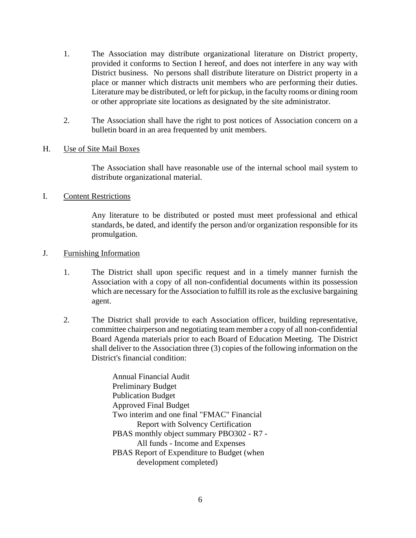- 1. The Association may distribute organizational literature on District property, provided it conforms to Section I hereof, and does not interfere in any way with District business. No persons shall distribute literature on District property in a place or manner which distracts unit members who are performing their duties. Literature may be distributed, or left for pickup, in the faculty rooms or dining room or other appropriate site locations as designated by the site administrator.
- 2. The Association shall have the right to post notices of Association concern on a bulletin board in an area frequented by unit members.

# H. Use of Site Mail Boxes

The Association shall have reasonable use of the internal school mail system to distribute organizational material.

# I. Content Restrictions

Any literature to be distributed or posted must meet professional and ethical standards, be dated, and identify the person and/or organization responsible for its promulgation.

# J. Furnishing Information

- 1. The District shall upon specific request and in a timely manner furnish the Association with a copy of all non-confidential documents within its possession which are necessary for the Association to fulfill its role as the exclusive bargaining agent.
- 2. The District shall provide to each Association officer, building representative, committee chairperson and negotiating team member a copy of all non-confidential Board Agenda materials prior to each Board of Education Meeting. The District shall deliver to the Association three (3) copies of the following information on the District's financial condition:

Annual Financial Audit Preliminary Budget Publication Budget Approved Final Budget Two interim and one final "FMAC" Financial Report with Solvency Certification PBAS monthly object summary PBO302 - R7 - All funds - Income and Expenses PBAS Report of Expenditure to Budget (when development completed)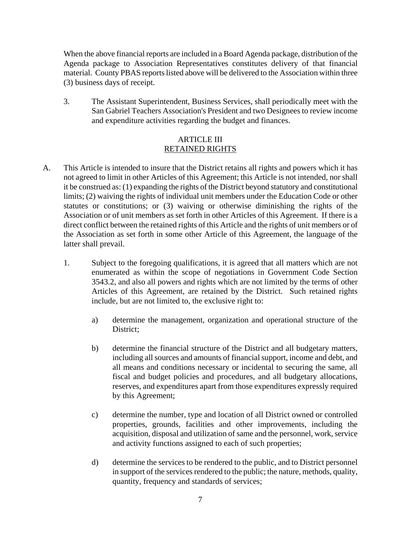When the above financial reports are included in a Board Agenda package, distribution of the Agenda package to Association Representatives constitutes delivery of that financial material. County PBAS reports listed above will be delivered to the Association within three (3) business days of receipt.

3. The Assistant Superintendent, Business Services, shall periodically meet with the San Gabriel Teachers Association's President and two Designees to review income and expenditure activities regarding the budget and finances.

# ARTICLE III RETAINED RIGHTS

- A. This Article is intended to insure that the District retains all rights and powers which it has not agreed to limit in other Articles of this Agreement; this Article is not intended, nor shall it be construed as: (1) expanding the rights of the District beyond statutory and constitutional limits; (2) waiving the rights of individual unit members under the Education Code or other statutes or constitutions; or (3) waiving or otherwise diminishing the rights of the Association or of unit members as set forth in other Articles of this Agreement. If there is a direct conflict between the retained rights of this Article and the rights of unit members or of the Association as set forth in some other Article of this Agreement, the language of the latter shall prevail.
	- 1. Subject to the foregoing qualifications, it is agreed that all matters which are not enumerated as within the scope of negotiations in Government Code Section 3543.2, and also all powers and rights which are not limited by the terms of other Articles of this Agreement, are retained by the District. Such retained rights include, but are not limited to, the exclusive right to:
		- a) determine the management, organization and operational structure of the District;
		- b) determine the financial structure of the District and all budgetary matters, including all sources and amounts of financial support, income and debt, and all means and conditions necessary or incidental to securing the same, all fiscal and budget policies and procedures, and all budgetary allocations, reserves, and expenditures apart from those expenditures expressly required by this Agreement;
		- c) determine the number, type and location of all District owned or controlled properties, grounds, facilities and other improvements, including the acquisition, disposal and utilization of same and the personnel, work, service and activity functions assigned to each of such properties;
		- d) determine the services to be rendered to the public, and to District personnel in support of the services rendered to the public; the nature, methods, quality, quantity, frequency and standards of services;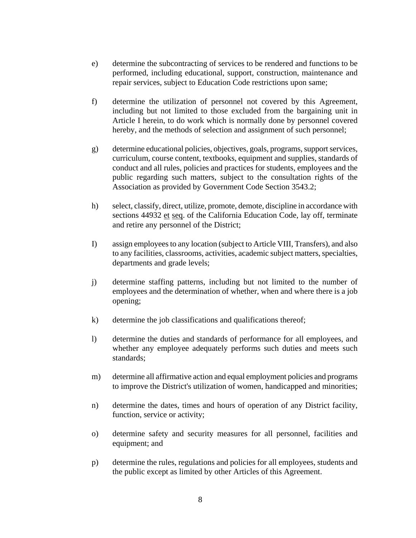- e) determine the subcontracting of services to be rendered and functions to be performed, including educational, support, construction, maintenance and repair services, subject to Education Code restrictions upon same;
- f) determine the utilization of personnel not covered by this Agreement, including but not limited to those excluded from the bargaining unit in Article I herein, to do work which is normally done by personnel covered hereby, and the methods of selection and assignment of such personnel;
- g) determine educational policies, objectives, goals, programs, support services, curriculum, course content, textbooks, equipment and supplies, standards of conduct and all rules, policies and practices for students, employees and the public regarding such matters, subject to the consultation rights of the Association as provided by Government Code Section 3543.2;
- h) select, classify, direct, utilize, promote, demote, discipline in accordance with sections 44932 et seq. of the California Education Code, lay off, terminate and retire any personnel of the District;
- I) assign employees to any location (subject to Article VIII, Transfers), and also to any facilities, classrooms, activities, academic subject matters, specialties, departments and grade levels;
- j) determine staffing patterns, including but not limited to the number of employees and the determination of whether, when and where there is a job opening;
- k) determine the job classifications and qualifications thereof;
- l) determine the duties and standards of performance for all employees, and whether any employee adequately performs such duties and meets such standards;
- m) determine all affirmative action and equal employment policies and programs to improve the District's utilization of women, handicapped and minorities;
- n) determine the dates, times and hours of operation of any District facility, function, service or activity;
- o) determine safety and security measures for all personnel, facilities and equipment; and
- p) determine the rules, regulations and policies for all employees, students and the public except as limited by other Articles of this Agreement.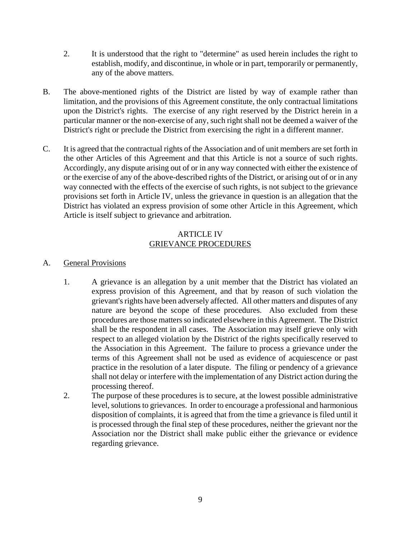- 2. It is understood that the right to "determine" as used herein includes the right to establish, modify, and discontinue, in whole or in part, temporarily or permanently, any of the above matters.
- B. The above-mentioned rights of the District are listed by way of example rather than limitation, and the provisions of this Agreement constitute, the only contractual limitations upon the District's rights. The exercise of any right reserved by the District herein in a particular manner or the non-exercise of any, such right shall not be deemed a waiver of the District's right or preclude the District from exercising the right in a different manner.
- C. It is agreed that the contractual rights of the Association and of unit members are set forth in the other Articles of this Agreement and that this Article is not a source of such rights. Accordingly, any dispute arising out of or in any way connected with either the existence of or the exercise of any of the above-described rights of the District, or arising out of or in any way connected with the effects of the exercise of such rights, is not subject to the grievance provisions set forth in Article IV, unless the grievance in question is an allegation that the District has violated an express provision of some other Article in this Agreement, which Article is itself subject to grievance and arbitration.

### ARTICLE IV GRIEVANCE PROCEDURES

# A. General Provisions

- 1. A grievance is an allegation by a unit member that the District has violated an express provision of this Agreement, and that by reason of such violation the grievant's rights have been adversely affected. All other matters and disputes of any nature are beyond the scope of these procedures. Also excluded from these procedures are those matters so indicated elsewhere in this Agreement. The District shall be the respondent in all cases. The Association may itself grieve only with respect to an alleged violation by the District of the rights specifically reserved to the Association in this Agreement. The failure to process a grievance under the terms of this Agreement shall not be used as evidence of acquiescence or past practice in the resolution of a later dispute. The filing or pendency of a grievance shall not delay or interfere with the implementation of any District action during the processing thereof.
- 2. The purpose of these procedures is to secure, at the lowest possible administrative level, solutions to grievances. In order to encourage a professional and harmonious disposition of complaints, it is agreed that from the time a grievance is filed until it is processed through the final step of these procedures, neither the grievant nor the Association nor the District shall make public either the grievance or evidence regarding grievance.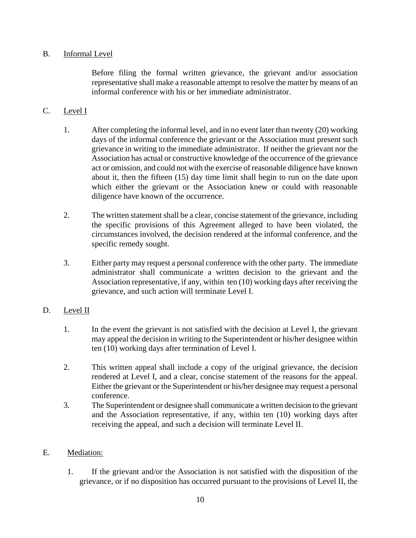# B. Informal Level

Before filing the formal written grievance, the grievant and/or association representative shall make a reasonable attempt to resolve the matter by means of an informal conference with his or her immediate administrator.

# C. Level I

- 1. After completing the informal level, and in no event later than twenty (20) working days of the informal conference the grievant or the Association must present such grievance in writing to the immediate administrator. If neither the grievant nor the Association has actual or constructive knowledge of the occurrence of the grievance act or omission, and could not with the exercise of reasonable diligence have known about it, then the fifteen (15) day time limit shall begin to run on the date upon which either the grievant or the Association knew or could with reasonable diligence have known of the occurrence.
- 2. The written statement shall be a clear, concise statement of the grievance, including the specific provisions of this Agreement alleged to have been violated, the circumstances involved, the decision rendered at the informal conference, and the specific remedy sought.
- 3. Either party may request a personal conference with the other party. The immediate administrator shall communicate a written decision to the grievant and the Association representative, if any, within ten (10) working days after receiving the grievance, and such action will terminate Level I.

# D. Level II

- 1. In the event the grievant is not satisfied with the decision at Level I, the grievant may appeal the decision in writing to the Superintendent or his/her designee within ten (10) working days after termination of Level I.
- 2. This written appeal shall include a copy of the original grievance, the decision rendered at Level I, and a clear, concise statement of the reasons for the appeal. Either the grievant or the Superintendent or his/her designee may request a personal conference.
- 3. The Superintendent or designee shall communicate a written decision to the grievant and the Association representative, if any, within ten (10) working days after receiving the appeal, and such a decision will terminate Level II.

# E. Mediation:

1. If the grievant and/or the Association is not satisfied with the disposition of the grievance, or if no disposition has occurred pursuant to the provisions of Level II, the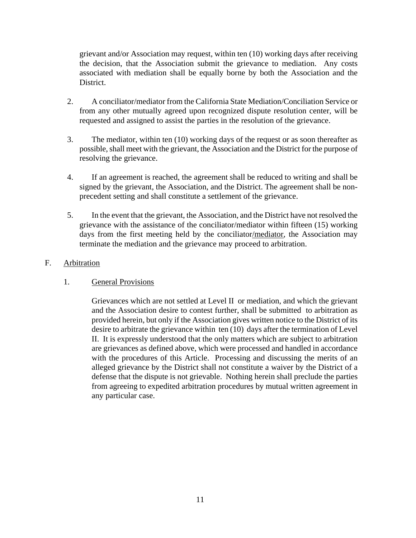grievant and/or Association may request, within ten (10) working days after receiving the decision, that the Association submit the grievance to mediation. Any costs associated with mediation shall be equally borne by both the Association and the District.

- 2. A conciliator/mediator from the California State Mediation/Conciliation Service or from any other mutually agreed upon recognized dispute resolution center, will be requested and assigned to assist the parties in the resolution of the grievance.
- 3. The mediator, within ten (10) working days of the request or as soon thereafter as possible, shall meet with the grievant, the Association and the District for the purpose of resolving the grievance.
- 4. If an agreement is reached, the agreement shall be reduced to writing and shall be signed by the grievant, the Association, and the District. The agreement shall be nonprecedent setting and shall constitute a settlement of the grievance.
- 5. In the event that the grievant, the Association, and the District have not resolved the grievance with the assistance of the conciliator/mediator within fifteen (15) working days from the first meeting held by the conciliator/mediator, the Association may terminate the mediation and the grievance may proceed to arbitration.

# F. Arbitration

# 1. General Provisions

Grievances which are not settled at Level II or mediation, and which the grievant and the Association desire to contest further, shall be submitted to arbitration as provided herein, but only if the Association gives written notice to the District of its desire to arbitrate the grievance within ten (10) days after the termination of Level II. It is expressly understood that the only matters which are subject to arbitration are grievances as defined above, which were processed and handled in accordance with the procedures of this Article. Processing and discussing the merits of an alleged grievance by the District shall not constitute a waiver by the District of a defense that the dispute is not grievable. Nothing herein shall preclude the parties from agreeing to expedited arbitration procedures by mutual written agreement in any particular case.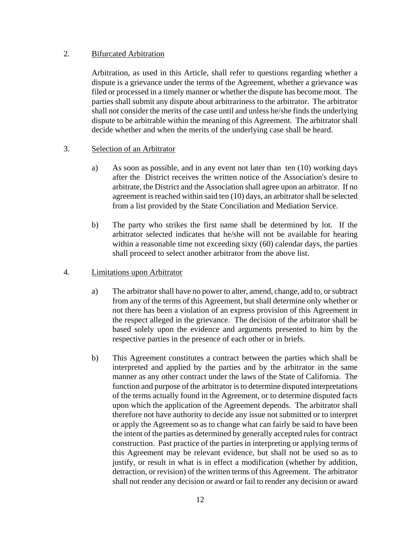## 2. Bifurcated Arbitration

Arbitration, as used in this Article, shall refer to questions regarding whether a dispute is a grievance under the terms of the Agreement, whether a grievance was filed or processed in a timely manner or whether the dispute has become moot. The parties shall submit any dispute about arbitrariness to the arbitrator. The arbitrator shall not consider the merits of the case until and unless he/she finds the underlying dispute to be arbitrable within the meaning of this Agreement. The arbitrator shall decide whether and when the merits of the underlying case shall be heard.

# 3. Selection of an Arbitrator

- a) As soon as possible, and in any event not later than ten (10) working days after the District receives the written notice of the Association's desire to arbitrate, the District and the Association shall agree upon an arbitrator. If no agreement is reached within said ten (10) days, an arbitrator shall be selected from a list provided by the State Conciliation and Mediation Service.
- b) The party who strikes the first name shall be determined by lot. If the arbitrator selected indicates that he/she will not be available for hearing within a reasonable time not exceeding sixty (60) calendar days, the parties shall proceed to select another arbitrator from the above list.

### 4. Limitations upon Arbitrator

- a) The arbitrator shall have no power to alter, amend, change, add to, or subtract from any of the terms of this Agreement, but shall determine only whether or not there has been a violation of an express provision of this Agreement in the respect alleged in the grievance. The decision of the arbitrator shall be based solely upon the evidence and arguments presented to him by the respective parties in the presence of each other or in briefs.
- b) This Agreement constitutes a contract between the parties which shall be interpreted and applied by the parties and by the arbitrator in the same manner as any other contract under the laws of the State of California. The function and purpose of the arbitrator is to determine disputed interpretations of the terms actually found in the Agreement, or to determine disputed facts upon which the application of the Agreement depends. The arbitrator shall therefore not have authority to decide any issue not submitted or to interpret or apply the Agreement so as to change what can fairly be said to have been the intent of the parties as determined by generally accepted rules for contract construction. Past practice of the parties in interpreting or applying terms of this Agreement may be relevant evidence, but shall not be used so as to justify, or result in what is in effect a modification (whether by addition, detraction, or revision) of the written terms of this Agreement. The arbitrator shall not render any decision or award or fail to render any decision or award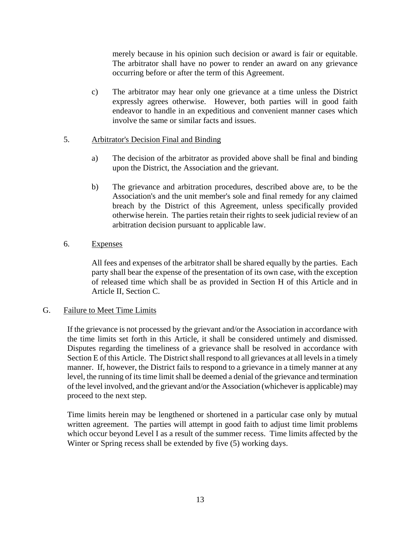merely because in his opinion such decision or award is fair or equitable. The arbitrator shall have no power to render an award on any grievance occurring before or after the term of this Agreement.

c) The arbitrator may hear only one grievance at a time unless the District expressly agrees otherwise. However, both parties will in good faith endeavor to handle in an expeditious and convenient manner cases which involve the same or similar facts and issues.

# 5. Arbitrator's Decision Final and Binding

- a) The decision of the arbitrator as provided above shall be final and binding upon the District, the Association and the grievant.
- b) The grievance and arbitration procedures, described above are, to be the Association's and the unit member's sole and final remedy for any claimed breach by the District of this Agreement, unless specifically provided otherwise herein. The parties retain their rights to seek judicial review of an arbitration decision pursuant to applicable law.

# 6. Expenses

All fees and expenses of the arbitrator shall be shared equally by the parties. Each party shall bear the expense of the presentation of its own case, with the exception of released time which shall be as provided in Section H of this Article and in Article II, Section C.

# G. Failure to Meet Time Limits

If the grievance is not processed by the grievant and/or the Association in accordance with the time limits set forth in this Article, it shall be considered untimely and dismissed. Disputes regarding the timeliness of a grievance shall be resolved in accordance with Section E of this Article. The District shall respond to all grievances at all levels in a timely manner. If, however, the District fails to respond to a grievance in a timely manner at any level, the running of its time limit shall be deemed a denial of the grievance and termination of the level involved, and the grievant and/or the Association (whichever is applicable) may proceed to the next step.

Time limits herein may be lengthened or shortened in a particular case only by mutual written agreement. The parties will attempt in good faith to adjust time limit problems which occur beyond Level I as a result of the summer recess. Time limits affected by the Winter or Spring recess shall be extended by five (5) working days.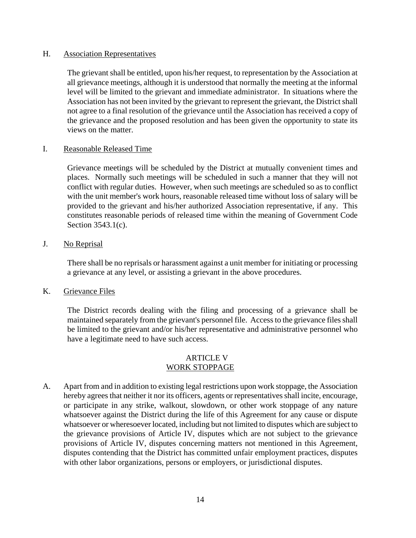### H. Association Representatives

The grievant shall be entitled, upon his/her request, to representation by the Association at all grievance meetings, although it is understood that normally the meeting at the informal level will be limited to the grievant and immediate administrator. In situations where the Association has not been invited by the grievant to represent the grievant, the District shall not agree to a final resolution of the grievance until the Association has received a copy of the grievance and the proposed resolution and has been given the opportunity to state its views on the matter.

#### I. Reasonable Released Time

Grievance meetings will be scheduled by the District at mutually convenient times and places. Normally such meetings will be scheduled in such a manner that they will not conflict with regular duties. However, when such meetings are scheduled so as to conflict with the unit member's work hours, reasonable released time without loss of salary will be provided to the grievant and his/her authorized Association representative, if any. This constitutes reasonable periods of released time within the meaning of Government Code Section 3543.1(c).

### J. No Reprisal

There shall be no reprisals or harassment against a unit member for initiating or processing a grievance at any level, or assisting a grievant in the above procedures.

### K. Grievance Files

The District records dealing with the filing and processing of a grievance shall be maintained separately from the grievant's personnel file. Access to the grievance files shall be limited to the grievant and/or his/her representative and administrative personnel who have a legitimate need to have such access.

#### ARTICLE V WORK STOPPAGE

A. Apart from and in addition to existing legal restrictions upon work stoppage, the Association hereby agrees that neither it nor its officers, agents or representatives shall incite, encourage, or participate in any strike, walkout, slowdown, or other work stoppage of any nature whatsoever against the District during the life of this Agreement for any cause or dispute whatsoever or wheresoever located, including but not limited to disputes which are subject to the grievance provisions of Article IV, disputes which are not subject to the grievance provisions of Article IV, disputes concerning matters not mentioned in this Agreement, disputes contending that the District has committed unfair employment practices, disputes with other labor organizations, persons or employers, or jurisdictional disputes.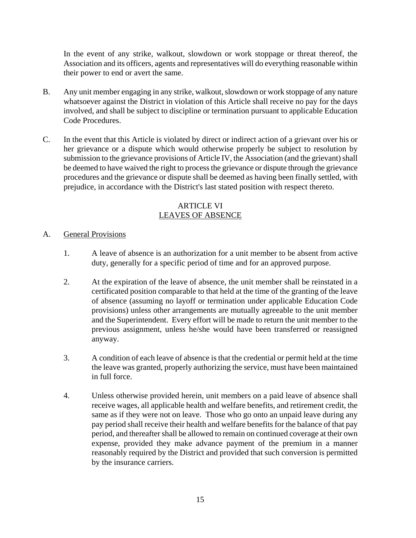In the event of any strike, walkout, slowdown or work stoppage or threat thereof, the Association and its officers, agents and representatives will do everything reasonable within their power to end or avert the same.

- B. Any unit member engaging in any strike, walkout, slowdown or work stoppage of any nature whatsoever against the District in violation of this Article shall receive no pay for the days involved, and shall be subject to discipline or termination pursuant to applicable Education Code Procedures.
- C. In the event that this Article is violated by direct or indirect action of a grievant over his or her grievance or a dispute which would otherwise properly be subject to resolution by submission to the grievance provisions of Article IV, the Association (and the grievant) shall be deemed to have waived the right to process the grievance or dispute through the grievance procedures and the grievance or dispute shall be deemed as having been finally settled, with prejudice, in accordance with the District's last stated position with respect thereto.

# ARTICLE VI LEAVES OF ABSENCE

- A. General Provisions
	- 1. A leave of absence is an authorization for a unit member to be absent from active duty, generally for a specific period of time and for an approved purpose.
	- 2. At the expiration of the leave of absence, the unit member shall be reinstated in a certificated position comparable to that held at the time of the granting of the leave of absence (assuming no layoff or termination under applicable Education Code provisions) unless other arrangements are mutually agreeable to the unit member and the Superintendent. Every effort will be made to return the unit member to the previous assignment, unless he/she would have been transferred or reassigned anyway.
	- 3. A condition of each leave of absence is that the credential or permit held at the time the leave was granted, properly authorizing the service, must have been maintained in full force.
	- 4. Unless otherwise provided herein, unit members on a paid leave of absence shall receive wages, all applicable health and welfare benefits, and retirement credit, the same as if they were not on leave. Those who go onto an unpaid leave during any pay period shall receive their health and welfare benefits for the balance of that pay period, and thereafter shall be allowed to remain on continued coverage at their own expense, provided they make advance payment of the premium in a manner reasonably required by the District and provided that such conversion is permitted by the insurance carriers.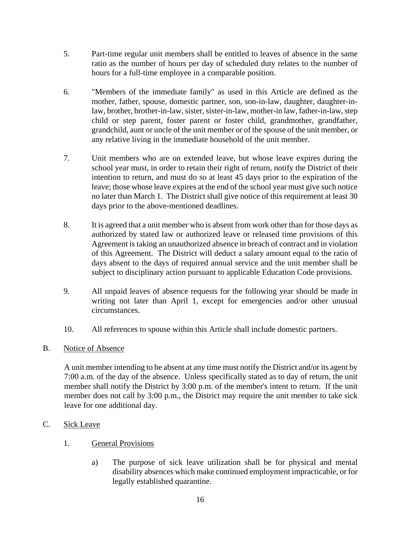- 5. Part-time regular unit members shall be entitled to leaves of absence in the same ratio as the number of hours per day of scheduled duty relates to the number of hours for a full-time employee in a comparable position.
- 6. "Members of the immediate family" as used in this Article are defined as the mother, father, spouse, domestic partner, son, son-in-law, daughter, daughter-inlaw, brother, brother-in-law, sister, sister-in-law, mother-in law, father-in-law, step child or step parent, foster parent or foster child, grandmother, grandfather, grandchild, aunt or uncle of the unit member or of the spouse of the unit member, or any relative living in the immediate household of the unit member.
- 7. Unit members who are on extended leave, but whose leave expires during the school year must, in order to retain their right of return, notify the District of their intention to return, and must do so at least 45 days prior to the expiration of the leave; those whose leave expires at the end of the school year must give such notice no later than March 1. The District shall give notice of this requirement at least 30 days prior to the above-mentioned deadlines.
- 8. It is agreed that a unit member who is absent from work other than for those days as authorized by stated law or authorized leave or released time provisions of this Agreement is taking an unauthorized absence in breach of contract and in violation of this Agreement. The District will deduct a salary amount equal to the ratio of days absent to the days of required annual service and the unit member shall be subject to disciplinary action pursuant to applicable Education Code provisions.
- 9. All unpaid leaves of absence requests for the following year should be made in writing not later than April 1, except for emergencies and/or other unusual circumstances.
- 10. All references to spouse within this Article shall include domestic partners.

# B. Notice of Absence

A unit member intending to be absent at any time must notify the District and/or its agent by 7:00 a.m. of the day of the absence. Unless specifically stated as to day of return, the unit member shall notify the District by 3:00 p.m. of the member's intent to return. If the unit member does not call by 3:00 p.m., the District may require the unit member to take sick leave for one additional day.

# C. Sick Leave

- 1. General Provisions
	- a) The purpose of sick leave utilization shall be for physical and mental disability absences which make continued employment impracticable, or for legally established quarantine.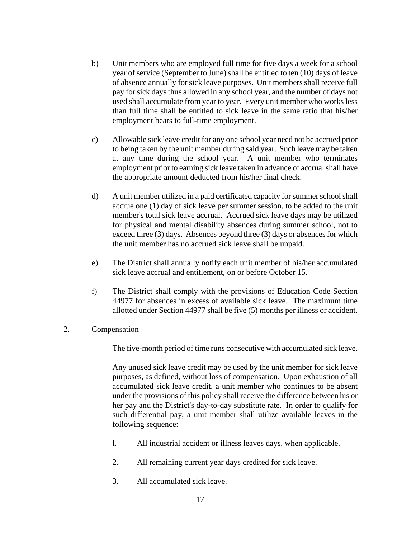- b) Unit members who are employed full time for five days a week for a school year of service (September to June) shall be entitled to ten (10) days of leave of absence annually for sick leave purposes. Unit members shall receive full pay for sick days thus allowed in any school year, and the number of days not used shall accumulate from year to year. Every unit member who works less than full time shall be entitled to sick leave in the same ratio that his/her employment bears to full-time employment.
- c) Allowable sick leave credit for any one school year need not be accrued prior to being taken by the unit member during said year. Such leave may be taken at any time during the school year. A unit member who terminates employment prior to earning sick leave taken in advance of accrual shall have the appropriate amount deducted from his/her final check.
- d) A unit member utilized in a paid certificated capacity for summer school shall accrue one (1) day of sick leave per summer session, to be added to the unit member's total sick leave accrual. Accrued sick leave days may be utilized for physical and mental disability absences during summer school, not to exceed three (3) days. Absences beyond three (3) days or absences for which the unit member has no accrued sick leave shall be unpaid.
- e) The District shall annually notify each unit member of his/her accumulated sick leave accrual and entitlement, on or before October 15.
- f) The District shall comply with the provisions of Education Code Section 44977 for absences in excess of available sick leave. The maximum time allotted under Section 44977 shall be five (5) months per illness or accident.
- 2. Compensation

The five-month period of time runs consecutive with accumulated sick leave.

Any unused sick leave credit may be used by the unit member for sick leave purposes, as defined, without loss of compensation. Upon exhaustion of all accumulated sick leave credit, a unit member who continues to be absent under the provisions of this policy shall receive the difference between his or her pay and the District's day-to-day substitute rate. In order to qualify for such differential pay, a unit member shall utilize available leaves in the following sequence:

- l. All industrial accident or illness leaves days, when applicable.
- 2. All remaining current year days credited for sick leave.
- 3. All accumulated sick leave.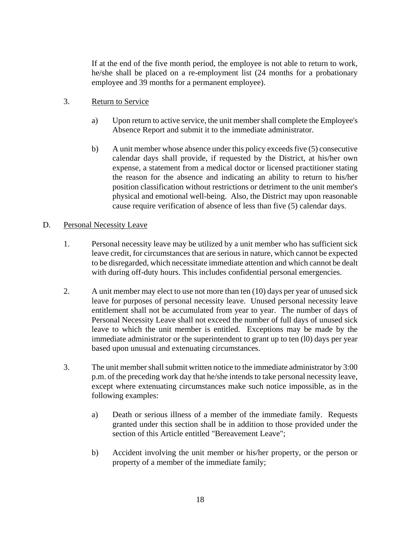If at the end of the five month period, the employee is not able to return to work, he/she shall be placed on a re-employment list (24 months for a probationary employee and 39 months for a permanent employee).

- 3. Return to Service
	- a) Upon return to active service, the unit member shall complete the Employee's Absence Report and submit it to the immediate administrator.
	- b) A unit member whose absence under this policy exceeds five (5) consecutive calendar days shall provide, if requested by the District, at his/her own expense, a statement from a medical doctor or licensed practitioner stating the reason for the absence and indicating an ability to return to his/her position classification without restrictions or detriment to the unit member's physical and emotional well-being. Also, the District may upon reasonable cause require verification of absence of less than five (5) calendar days.

# D. Personal Necessity Leave

- 1. Personal necessity leave may be utilized by a unit member who has sufficient sick leave credit, for circumstances that are serious in nature, which cannot be expected to be disregarded, which necessitate immediate attention and which cannot be dealt with during off-duty hours. This includes confidential personal emergencies.
- 2. A unit member may elect to use not more than ten (10) days per year of unused sick leave for purposes of personal necessity leave. Unused personal necessity leave entitlement shall not be accumulated from year to year. The number of days of Personal Necessity Leave shall not exceed the number of full days of unused sick leave to which the unit member is entitled. Exceptions may be made by the immediate administrator or the superintendent to grant up to ten (l0) days per year based upon unusual and extenuating circumstances.
- 3. The unit member shall submit written notice to the immediate administrator by 3:00 p.m. of the preceding work day that he/she intends to take personal necessity leave, except where extenuating circumstances make such notice impossible, as in the following examples:
	- a) Death or serious illness of a member of the immediate family. Requests granted under this section shall be in addition to those provided under the section of this Article entitled "Bereavement Leave";
	- b) Accident involving the unit member or his/her property, or the person or property of a member of the immediate family;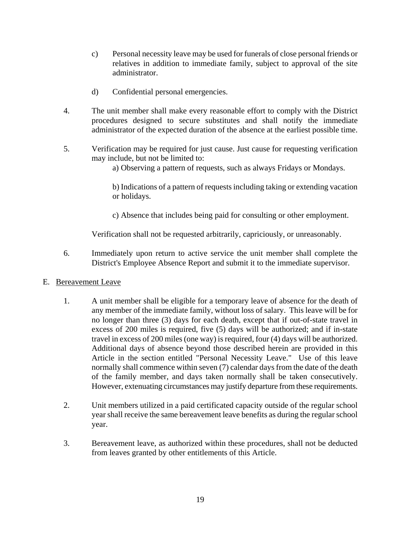- c) Personal necessity leave may be used for funerals of close personal friends or relatives in addition to immediate family, subject to approval of the site administrator.
- d) Confidential personal emergencies.
- 4. The unit member shall make every reasonable effort to comply with the District procedures designed to secure substitutes and shall notify the immediate administrator of the expected duration of the absence at the earliest possible time.
- 5. Verification may be required for just cause. Just cause for requesting verification may include, but not be limited to:
	- a) Observing a pattern of requests, such as always Fridays or Mondays.

b) Indications of a pattern of requests including taking or extending vacation or holidays.

c) Absence that includes being paid for consulting or other employment.

Verification shall not be requested arbitrarily, capriciously, or unreasonably.

6. Immediately upon return to active service the unit member shall complete the District's Employee Absence Report and submit it to the immediate supervisor.

### E. Bereavement Leave

- 1. A unit member shall be eligible for a temporary leave of absence for the death of any member of the immediate family, without loss of salary. This leave will be for no longer than three (3) days for each death, except that if out-of-state travel in excess of 200 miles is required, five (5) days will be authorized; and if in-state travel in excess of 200 miles (one way) is required, four (4) days will be authorized. Additional days of absence beyond those described herein are provided in this Article in the section entitled "Personal Necessity Leave." Use of this leave normally shall commence within seven (7) calendar days from the date of the death of the family member, and days taken normally shall be taken consecutively. However, extenuating circumstances may justify departure from these requirements.
- 2. Unit members utilized in a paid certificated capacity outside of the regular school year shall receive the same bereavement leave benefits as during the regular school year.
- 3. Bereavement leave, as authorized within these procedures, shall not be deducted from leaves granted by other entitlements of this Article.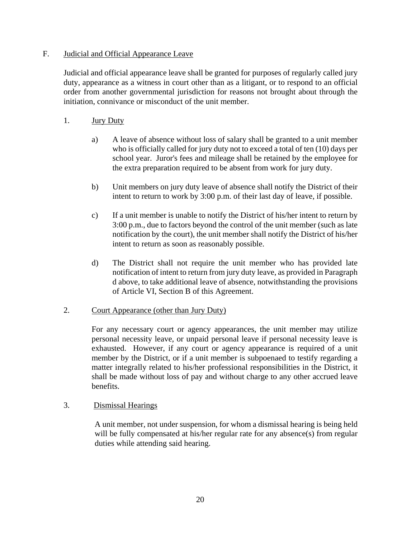# F. Judicial and Official Appearance Leave

Judicial and official appearance leave shall be granted for purposes of regularly called jury duty, appearance as a witness in court other than as a litigant, or to respond to an official order from another governmental jurisdiction for reasons not brought about through the initiation, connivance or misconduct of the unit member.

# 1. **Jury Duty**

- a) A leave of absence without loss of salary shall be granted to a unit member who is officially called for jury duty not to exceed a total of ten (10) days per school year. Juror's fees and mileage shall be retained by the employee for the extra preparation required to be absent from work for jury duty.
- b) Unit members on jury duty leave of absence shall notify the District of their intent to return to work by 3:00 p.m. of their last day of leave, if possible.
- c) If a unit member is unable to notify the District of his/her intent to return by 3:00 p.m., due to factors beyond the control of the unit member (such as late notification by the court), the unit member shall notify the District of his/her intent to return as soon as reasonably possible.
- d) The District shall not require the unit member who has provided late notification of intent to return from jury duty leave, as provided in Paragraph d above, to take additional leave of absence, notwithstanding the provisions of Article VI, Section B of this Agreement.

# 2. Court Appearance (other than Jury Duty)

For any necessary court or agency appearances, the unit member may utilize personal necessity leave, or unpaid personal leave if personal necessity leave is exhausted. However, if any court or agency appearance is required of a unit member by the District, or if a unit member is subpoenaed to testify regarding a matter integrally related to his/her professional responsibilities in the District, it shall be made without loss of pay and without charge to any other accrued leave benefits.

# 3. Dismissal Hearings

A unit member, not under suspension, for whom a dismissal hearing is being held will be fully compensated at his/her regular rate for any absence(s) from regular duties while attending said hearing.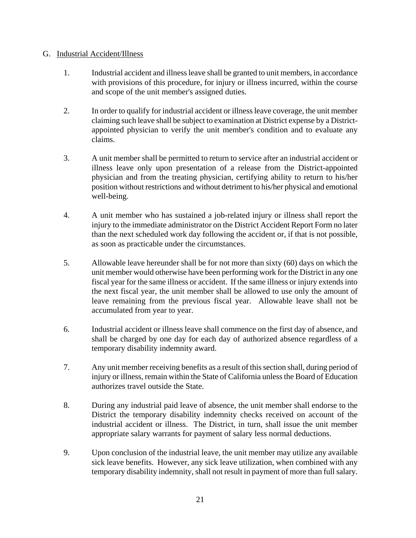# G. Industrial Accident/Illness

- 1. Industrial accident and illness leave shall be granted to unit members, in accordance with provisions of this procedure, for injury or illness incurred, within the course and scope of the unit member's assigned duties.
- 2. In order to qualify for industrial accident or illness leave coverage, the unit member claiming such leave shall be subject to examination at District expense by a Districtappointed physician to verify the unit member's condition and to evaluate any claims.
- 3. A unit member shall be permitted to return to service after an industrial accident or illness leave only upon presentation of a release from the District-appointed physician and from the treating physician, certifying ability to return to his/her position without restrictions and without detriment to his/her physical and emotional well-being.
- 4. A unit member who has sustained a job-related injury or illness shall report the injury to the immediate administrator on the District Accident Report Form no later than the next scheduled work day following the accident or, if that is not possible, as soon as practicable under the circumstances.
- 5. Allowable leave hereunder shall be for not more than sixty (60) days on which the unit member would otherwise have been performing work for the District in any one fiscal year for the same illness or accident. If the same illness or injury extends into the next fiscal year, the unit member shall be allowed to use only the amount of leave remaining from the previous fiscal year. Allowable leave shall not be accumulated from year to year.
- 6. Industrial accident or illness leave shall commence on the first day of absence, and shall be charged by one day for each day of authorized absence regardless of a temporary disability indemnity award.
- 7. Any unit member receiving benefits as a result of this section shall, during period of injury or illness, remain within the State of California unless the Board of Education authorizes travel outside the State.
- 8. During any industrial paid leave of absence, the unit member shall endorse to the District the temporary disability indemnity checks received on account of the industrial accident or illness. The District, in turn, shall issue the unit member appropriate salary warrants for payment of salary less normal deductions.
- 9. Upon conclusion of the industrial leave, the unit member may utilize any available sick leave benefits. However, any sick leave utilization, when combined with any temporary disability indemnity, shall not result in payment of more than full salary.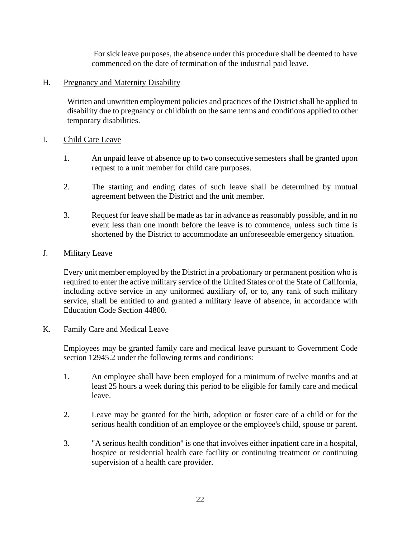For sick leave purposes, the absence under this procedure shall be deemed to have commenced on the date of termination of the industrial paid leave.

# H. Pregnancy and Maternity Disability

Written and unwritten employment policies and practices of the District shall be applied to disability due to pregnancy or childbirth on the same terms and conditions applied to other temporary disabilities.

# I. Child Care Leave

- 1. An unpaid leave of absence up to two consecutive semesters shall be granted upon request to a unit member for child care purposes.
- 2. The starting and ending dates of such leave shall be determined by mutual agreement between the District and the unit member.
- 3. Request for leave shall be made as far in advance as reasonably possible, and in no event less than one month before the leave is to commence, unless such time is shortened by the District to accommodate an unforeseeable emergency situation.

# J. Military Leave

Every unit member employed by the District in a probationary or permanent position who is required to enter the active military service of the United States or of the State of California, including active service in any uniformed auxiliary of, or to, any rank of such military service, shall be entitled to and granted a military leave of absence, in accordance with Education Code Section 44800.

# K. Family Care and Medical Leave

Employees may be granted family care and medical leave pursuant to Government Code section 12945.2 under the following terms and conditions:

- 1. An employee shall have been employed for a minimum of twelve months and at least 25 hours a week during this period to be eligible for family care and medical leave.
- 2. Leave may be granted for the birth, adoption or foster care of a child or for the serious health condition of an employee or the employee's child, spouse or parent.
- 3. "A serious health condition" is one that involves either inpatient care in a hospital, hospice or residential health care facility or continuing treatment or continuing supervision of a health care provider.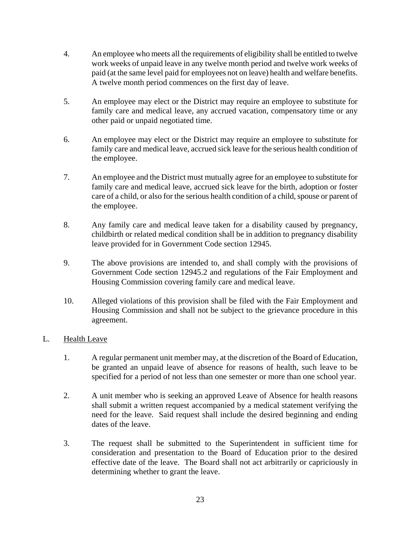- 4. An employee who meets all the requirements of eligibility shall be entitled to twelve work weeks of unpaid leave in any twelve month period and twelve work weeks of paid (at the same level paid for employees not on leave) health and welfare benefits. A twelve month period commences on the first day of leave.
- 5. An employee may elect or the District may require an employee to substitute for family care and medical leave, any accrued vacation, compensatory time or any other paid or unpaid negotiated time.
- 6. An employee may elect or the District may require an employee to substitute for family care and medical leave, accrued sick leave for the serious health condition of the employee.
- 7. An employee and the District must mutually agree for an employee to substitute for family care and medical leave, accrued sick leave for the birth, adoption or foster care of a child, or also for the serious health condition of a child, spouse or parent of the employee.
- 8. Any family care and medical leave taken for a disability caused by pregnancy, childbirth or related medical condition shall be in addition to pregnancy disability leave provided for in Government Code section 12945.
- 9. The above provisions are intended to, and shall comply with the provisions of Government Code section 12945.2 and regulations of the Fair Employment and Housing Commission covering family care and medical leave.
- 10. Alleged violations of this provision shall be filed with the Fair Employment and Housing Commission and shall not be subject to the grievance procedure in this agreement.

# L. Health Leave

- 1. A regular permanent unit member may, at the discretion of the Board of Education, be granted an unpaid leave of absence for reasons of health, such leave to be specified for a period of not less than one semester or more than one school year.
- 2. A unit member who is seeking an approved Leave of Absence for health reasons shall submit a written request accompanied by a medical statement verifying the need for the leave. Said request shall include the desired beginning and ending dates of the leave.
- 3. The request shall be submitted to the Superintendent in sufficient time for consideration and presentation to the Board of Education prior to the desired effective date of the leave. The Board shall not act arbitrarily or capriciously in determining whether to grant the leave.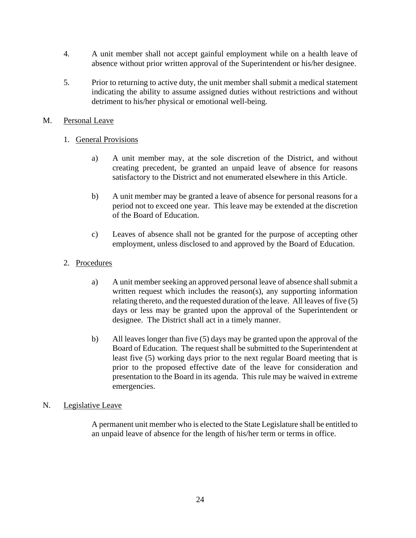- 4. A unit member shall not accept gainful employment while on a health leave of absence without prior written approval of the Superintendent or his/her designee.
- 5. Prior to returning to active duty, the unit member shall submit a medical statement indicating the ability to assume assigned duties without restrictions and without detriment to his/her physical or emotional well-being.

# M. Personal Leave

# 1. General Provisions

- a) A unit member may, at the sole discretion of the District, and without creating precedent, be granted an unpaid leave of absence for reasons satisfactory to the District and not enumerated elsewhere in this Article.
- b) A unit member may be granted a leave of absence for personal reasons for a period not to exceed one year. This leave may be extended at the discretion of the Board of Education.
- c) Leaves of absence shall not be granted for the purpose of accepting other employment, unless disclosed to and approved by the Board of Education.
- 2. Procedures
	- a) A unit member seeking an approved personal leave of absence shall submit a written request which includes the reason(s), any supporting information relating thereto, and the requested duration of the leave. All leaves of five (5) days or less may be granted upon the approval of the Superintendent or designee. The District shall act in a timely manner.
	- b) All leaves longer than five (5) days may be granted upon the approval of the Board of Education. The request shall be submitted to the Superintendent at least five (5) working days prior to the next regular Board meeting that is prior to the proposed effective date of the leave for consideration and presentation to the Board in its agenda. This rule may be waived in extreme emergencies.

# N. Legislative Leave

A permanent unit member who is elected to the State Legislature shall be entitled to an unpaid leave of absence for the length of his/her term or terms in office.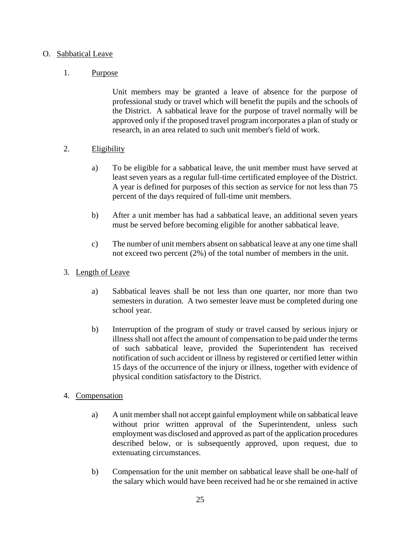# O. Sabbatical Leave

# 1. Purpose

Unit members may be granted a leave of absence for the purpose of professional study or travel which will benefit the pupils and the schools of the District. A sabbatical leave for the purpose of travel normally will be approved only if the proposed travel program incorporates a plan of study or research, in an area related to such unit member's field of work.

# 2. Eligibility

- a) To be eligible for a sabbatical leave, the unit member must have served at least seven years as a regular full-time certificated employee of the District. A year is defined for purposes of this section as service for not less than 75 percent of the days required of full-time unit members.
- b) After a unit member has had a sabbatical leave, an additional seven years must be served before becoming eligible for another sabbatical leave.
- c) The number of unit members absent on sabbatical leave at any one time shall not exceed two percent (2%) of the total number of members in the unit.
- 3. Length of Leave
	- a) Sabbatical leaves shall be not less than one quarter, nor more than two semesters in duration. A two semester leave must be completed during one school year.
	- b) Interruption of the program of study or travel caused by serious injury or illness shall not affect the amount of compensation to be paid under the terms of such sabbatical leave, provided the Superintendent has received notification of such accident or illness by registered or certified letter within 15 days of the occurrence of the injury or illness, together with evidence of physical condition satisfactory to the District.

### 4. Compensation

- a) A unit member shall not accept gainful employment while on sabbatical leave without prior written approval of the Superintendent, unless such employment was disclosed and approved as part of the application procedures described below, or is subsequently approved, upon request, due to extenuating circumstances.
- b) Compensation for the unit member on sabbatical leave shall be one-half of the salary which would have been received had he or she remained in active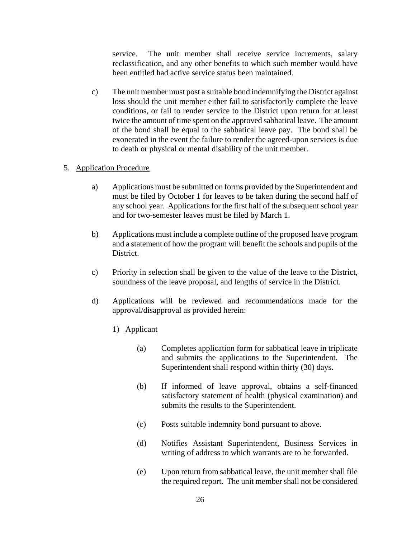service. The unit member shall receive service increments, salary reclassification, and any other benefits to which such member would have been entitled had active service status been maintained.

c) The unit member must post a suitable bond indemnifying the District against loss should the unit member either fail to satisfactorily complete the leave conditions, or fail to render service to the District upon return for at least twice the amount of time spent on the approved sabbatical leave. The amount of the bond shall be equal to the sabbatical leave pay. The bond shall be exonerated in the event the failure to render the agreed-upon services is due to death or physical or mental disability of the unit member.

# 5. Application Procedure

- a) Applications must be submitted on forms provided by the Superintendent and must be filed by October 1 for leaves to be taken during the second half of any school year. Applications for the first half of the subsequent school year and for two-semester leaves must be filed by March 1.
- b) Applications must include a complete outline of the proposed leave program and a statement of how the program will benefit the schools and pupils of the District.
- c) Priority in selection shall be given to the value of the leave to the District, soundness of the leave proposal, and lengths of service in the District.
- d) Applications will be reviewed and recommendations made for the approval/disapproval as provided herein:
	- 1) Applicant
		- (a) Completes application form for sabbatical leave in triplicate and submits the applications to the Superintendent. The Superintendent shall respond within thirty (30) days.
		- (b) If informed of leave approval, obtains a self-financed satisfactory statement of health (physical examination) and submits the results to the Superintendent.
		- (c) Posts suitable indemnity bond pursuant to above.
		- (d) Notifies Assistant Superintendent, Business Services in writing of address to which warrants are to be forwarded.
		- (e) Upon return from sabbatical leave, the unit member shall file the required report. The unit member shall not be considered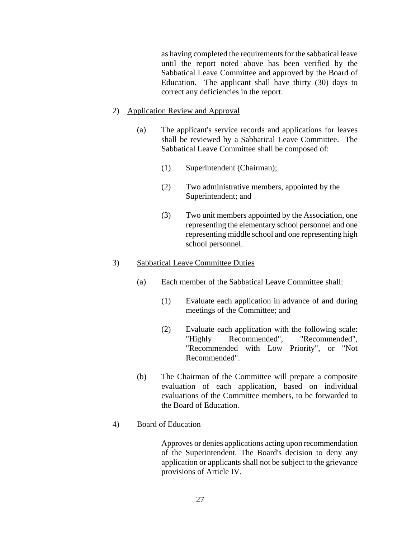as having completed the requirements for the sabbatical leave until the report noted above has been verified by the Sabbatical Leave Committee and approved by the Board of Education. The applicant shall have thirty (30) days to correct any deficiencies in the report.

#### 2) Application Review and Approval

- (a) The applicant's service records and applications for leaves shall be reviewed by a Sabbatical Leave Committee. The Sabbatical Leave Committee shall be composed of:
	- (1) Superintendent (Chairman);
	- (2) Two administrative members, appointed by the Superintendent; and
	- (3) Two unit members appointed by the Association, one representing the elementary school personnel and one representing middle school and one representing high school personnel.

#### 3) Sabbatical Leave Committee Duties

- (a) Each member of the Sabbatical Leave Committee shall:
	- (1) Evaluate each application in advance of and during meetings of the Committee; and
	- (2) Evaluate each application with the following scale: "Highly Recommended", "Recommended", "Recommended with Low Priority", or "Not Recommended".
- (b) The Chairman of the Committee will prepare a composite evaluation of each application, based on individual evaluations of the Committee members, to be forwarded to the Board of Education.

#### 4) Board of Education

Approves or denies applications acting upon recommendation of the Superintendent. The Board's decision to deny any application or applicants shall not be subject to the grievance provisions of Article IV.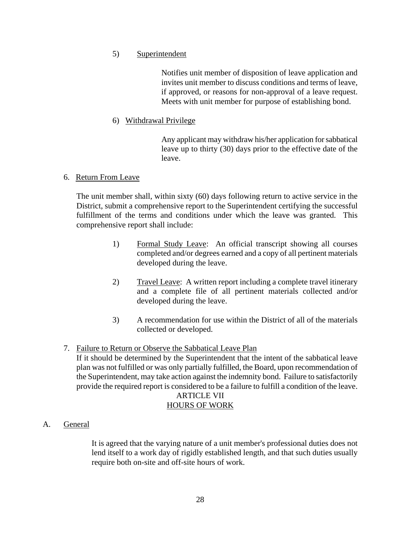# 5) Superintendent

Notifies unit member of disposition of leave application and invites unit member to discuss conditions and terms of leave, if approved, or reasons for non-approval of a leave request. Meets with unit member for purpose of establishing bond.

# 6) Withdrawal Privilege

Any applicant may withdraw his/her application for sabbatical leave up to thirty (30) days prior to the effective date of the leave.

# 6. Return From Leave

The unit member shall, within sixty (60) days following return to active service in the District, submit a comprehensive report to the Superintendent certifying the successful fulfillment of the terms and conditions under which the leave was granted. This comprehensive report shall include:

- 1) Formal Study Leave: An official transcript showing all courses completed and/or degrees earned and a copy of all pertinent materials developed during the leave.
- 2) Travel Leave: A written report including a complete travel itinerary and a complete file of all pertinent materials collected and/or developed during the leave.
- 3) A recommendation for use within the District of all of the materials collected or developed.
- 7. Failure to Return or Observe the Sabbatical Leave Plan

If it should be determined by the Superintendent that the intent of the sabbatical leave plan was not fulfilled or was only partially fulfilled, the Board, upon recommendation of the Superintendent, may take action against the indemnity bond. Failure to satisfactorily provide the required report is considered to be a failure to fulfill a condition of the leave.

# ARTICLE VII

# HOURS OF WORK

A. General

It is agreed that the varying nature of a unit member's professional duties does not lend itself to a work day of rigidly established length, and that such duties usually require both on-site and off-site hours of work.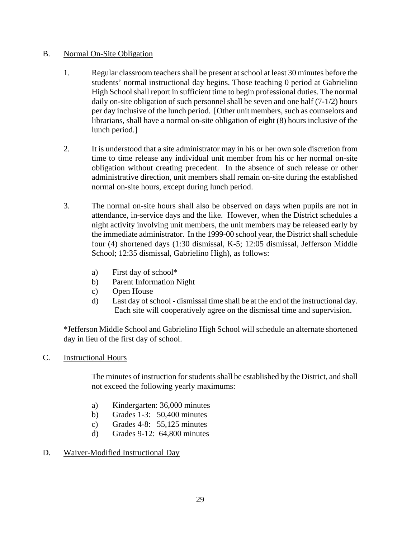# B. Normal On-Site Obligation

- 1. Regular classroom teachers shall be present at school at least 30 minutes before the students' normal instructional day begins. Those teaching 0 period at Gabrielino High School shall report in sufficient time to begin professional duties. The normal daily on-site obligation of such personnel shall be seven and one half (7-1/2) hours per day inclusive of the lunch period. [Other unit members, such as counselors and librarians, shall have a normal on-site obligation of eight (8) hours inclusive of the lunch period.]
- 2. It is understood that a site administrator may in his or her own sole discretion from time to time release any individual unit member from his or her normal on-site obligation without creating precedent. In the absence of such release or other administrative direction, unit members shall remain on-site during the established normal on-site hours, except during lunch period.
- 3. The normal on-site hours shall also be observed on days when pupils are not in attendance, in-service days and the like. However, when the District schedules a night activity involving unit members, the unit members may be released early by the immediate administrator. In the 1999-00 school year, the District shall schedule four (4) shortened days (1:30 dismissal, K-5; 12:05 dismissal, Jefferson Middle School; 12:35 dismissal, Gabrielino High), as follows:
	- a) First day of school\*
	- b) Parent Information Night
	- c) Open House
	- d) Last day of school dismissal time shall be at the end of the instructional day. Each site will cooperatively agree on the dismissal time and supervision.

\*Jefferson Middle School and Gabrielino High School will schedule an alternate shortened day in lieu of the first day of school.

# C. Instructional Hours

The minutes of instruction for students shall be established by the District, and shall not exceed the following yearly maximums:

- a) Kindergarten: 36,000 minutes
- b) Grades 1-3: 50,400 minutes
- c) Grades 4-8: 55,125 minutes
- d) Grades 9-12: 64,800 minutes

# D. Waiver-Modified Instructional Day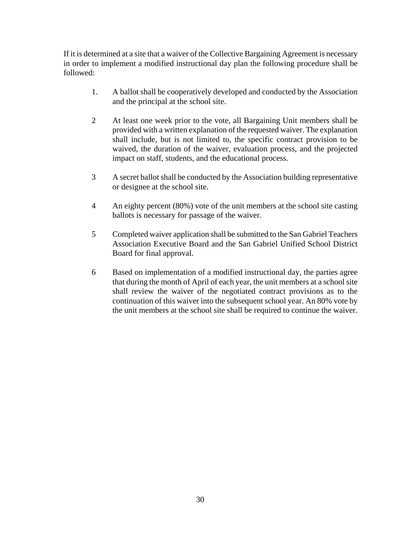If it is determined at a site that a waiver of the Collective Bargaining Agreement is necessary in order to implement a modified instructional day plan the following procedure shall be followed:

- 1. A ballot shall be cooperatively developed and conducted by the Association and the principal at the school site.
- 2 At least one week prior to the vote, all Bargaining Unit members shall be provided with a written explanation of the requested waiver. The explanation shall include, but is not limited to, the specific contract provision to be waived, the duration of the waiver, evaluation process, and the projected impact on staff, students, and the educational process.
- 3 A secret ballot shall be conducted by the Association building representative or designee at the school site.
- 4 An eighty percent (80%) vote of the unit members at the school site casting ballots is necessary for passage of the waiver.
- 5 Completed waiver application shall be submitted to the San Gabriel Teachers Association Executive Board and the San Gabriel Unified School District Board for final approval.
- 6 Based on implementation of a modified instructional day, the parties agree that during the month of April of each year, the unit members at a school site shall review the waiver of the negotiated contract provisions as to the continuation of this waiver into the subsequent school year. An 80% vote by the unit members at the school site shall be required to continue the waiver.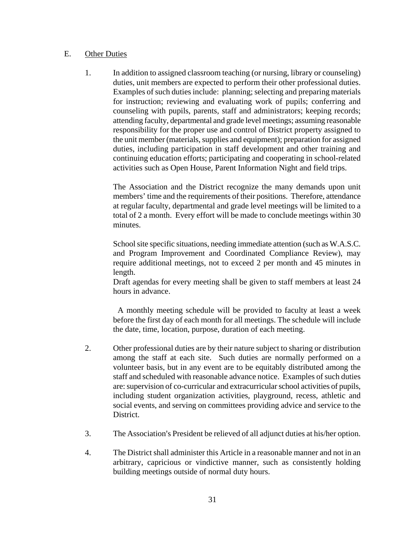### E. Other Duties

1. In addition to assigned classroom teaching (or nursing, library or counseling) duties, unit members are expected to perform their other professional duties. Examples of such duties include: planning; selecting and preparing materials for instruction; reviewing and evaluating work of pupils; conferring and counseling with pupils, parents, staff and administrators; keeping records; attending faculty, departmental and grade level meetings; assuming reasonable responsibility for the proper use and control of District property assigned to the unit member (materials, supplies and equipment); preparation for assigned duties, including participation in staff development and other training and continuing education efforts; participating and cooperating in school-related activities such as Open House, Parent Information Night and field trips.

 The Association and the District recognize the many demands upon unit members' time and the requirements of their positions. Therefore, attendance at regular faculty, departmental and grade level meetings will be limited to a total of 2 a month. Every effort will be made to conclude meetings within 30 minutes.

 School site specific situations, needing immediate attention (such as W.A.S.C. and Program Improvement and Coordinated Compliance Review), may require additional meetings, not to exceed 2 per month and 45 minutes in length.

 Draft agendas for every meeting shall be given to staff members at least 24 hours in advance.

 A monthly meeting schedule will be provided to faculty at least a week before the first day of each month for all meetings. The schedule will include the date, time, location, purpose, duration of each meeting.

- 2. Other professional duties are by their nature subject to sharing or distribution among the staff at each site. Such duties are normally performed on a volunteer basis, but in any event are to be equitably distributed among the staff and scheduled with reasonable advance notice. Examples of such duties are: supervision of co-curricular and extracurricular school activities of pupils, including student organization activities, playground, recess, athletic and social events, and serving on committees providing advice and service to the District.
- 3. The Association's President be relieved of all adjunct duties at his/her option.
- 4. The District shall administer this Article in a reasonable manner and not in an arbitrary, capricious or vindictive manner, such as consistently holding building meetings outside of normal duty hours.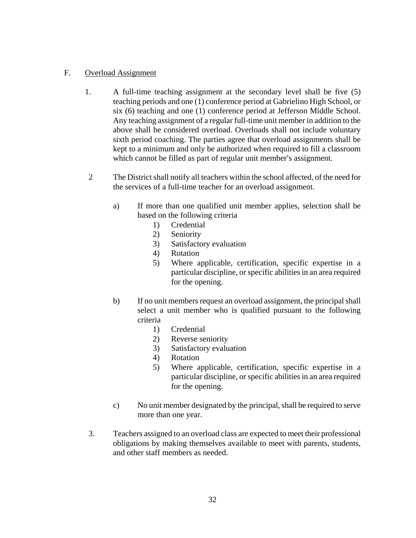# F. Overload Assignment

- 1. A full-time teaching assignment at the secondary level shall be five (5) teaching periods and one (1) conference period at Gabrielino High School, or six (6) teaching and one (1) conference period at Jefferson Middle School. Any teaching assignment of a regular full-time unit member in addition to the above shall be considered overload. Overloads shall not include voluntary sixth period coaching. The parties agree that overload assignments shall be kept to a minimum and only be authorized when required to fill a classroom which cannot be filled as part of regular unit member's assignment.
- 2 The District shall notify all teachers within the school affected, of the need for the services of a full-time teacher for an overload assignment.
	- a) If more than one qualified unit member applies, selection shall be based on the following criteria
		- 1) Credential
		- 2) Seniority
		- 3) Satisfactory evaluation
		- 4) Rotation
		- 5) Where applicable, certification, specific expertise in a particular discipline, or specific abilities in an area required for the opening.
	- b) If no unit members request an overload assignment, the principal shall select a unit member who is qualified pursuant to the following criteria
		- 1) Credential
		- 2) Reverse seniority
		- 3) Satisfactory evaluation
		- 4) Rotation
		- 5) Where applicable, certification, specific expertise in a particular discipline, or specific abilities in an area required for the opening.
	- c) No unit member designated by the principal, shall be required to serve more than one year.
- 3. Teachers assigned to an overload class are expected to meet their professional obligations by making themselves available to meet with parents, students, and other staff members as needed.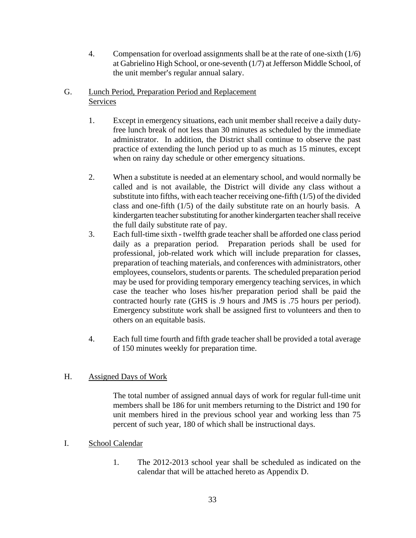4. Compensation for overload assignments shall be at the rate of one-sixth (1/6) at Gabrielino High School, or one-seventh (1/7) at Jefferson Middle School, of the unit member's regular annual salary.

# G. Lunch Period, Preparation Period and Replacement Services

- 1. Except in emergency situations, each unit member shall receive a daily dutyfree lunch break of not less than 30 minutes as scheduled by the immediate administrator. In addition, the District shall continue to observe the past practice of extending the lunch period up to as much as 15 minutes, except when on rainy day schedule or other emergency situations.
- 2. When a substitute is needed at an elementary school, and would normally be called and is not available, the District will divide any class without a substitute into fifths, with each teacher receiving one-fifth (1/5) of the divided class and one-fifth (1/5) of the daily substitute rate on an hourly basis. A kindergarten teacher substituting for another kindergarten teacher shall receive the full daily substitute rate of pay.
- 3. Each full-time sixth twelfth grade teacher shall be afforded one class period daily as a preparation period. Preparation periods shall be used for professional, job-related work which will include preparation for classes, preparation of teaching materials, and conferences with administrators, other employees, counselors, students or parents. The scheduled preparation period may be used for providing temporary emergency teaching services, in which case the teacher who loses his/her preparation period shall be paid the contracted hourly rate (GHS is .9 hours and JMS is .75 hours per period). Emergency substitute work shall be assigned first to volunteers and then to others on an equitable basis.
- 4. Each full time fourth and fifth grade teacher shall be provided a total average of 150 minutes weekly for preparation time.

# H. Assigned Days of Work

The total number of assigned annual days of work for regular full-time unit members shall be 186 for unit members returning to the District and 190 for unit members hired in the previous school year and working less than 75 percent of such year, 180 of which shall be instructional days.

# I. School Calendar

1. The 2012-2013 school year shall be scheduled as indicated on the calendar that will be attached hereto as Appendix D.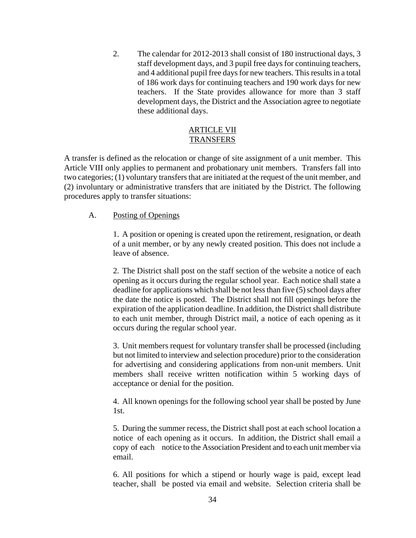2. The calendar for 2012-2013 shall consist of 180 instructional days, 3 staff development days, and 3 pupil free days for continuing teachers, and 4 additional pupil free days for new teachers. This results in a total of 186 work days for continuing teachers and 190 work days for new teachers. If the State provides allowance for more than 3 staff development days, the District and the Association agree to negotiate these additional days.

### ARTICLE VII **TRANSFERS**

A transfer is defined as the relocation or change of site assignment of a unit member. This Article VIII only applies to permanent and probationary unit members. Transfers fall into two categories; (1) voluntary transfers that are initiated at the request of the unit member, and (2) involuntary or administrative transfers that are initiated by the District. The following procedures apply to transfer situations:

### A. Posting of Openings

1. A position or opening is created upon the retirement, resignation, or death of a unit member, or by any newly created position. This does not include a leave of absence.

2. The District shall post on the staff section of the website a notice of each opening as it occurs during the regular school year. Each notice shall state a deadline for applications which shall be not less than five (5) school days after the date the notice is posted. The District shall not fill openings before the expiration of the application deadline. In addition, the District shall distribute to each unit member, through District mail, a notice of each opening as it occurs during the regular school year.

3. Unit members request for voluntary transfer shall be processed (including but not limited to interview and selection procedure) prior to the consideration for advertising and considering applications from non-unit members. Unit members shall receive written notification within 5 working days of acceptance or denial for the position.

4. All known openings for the following school year shall be posted by June 1st.

5. During the summer recess, the District shall post at each school location a notice of each opening as it occurs. In addition, the District shall email a copy of each notice to the Association President and to each unit member via email.

6. All positions for which a stipend or hourly wage is paid, except lead teacher, shall be posted via email and website. Selection criteria shall be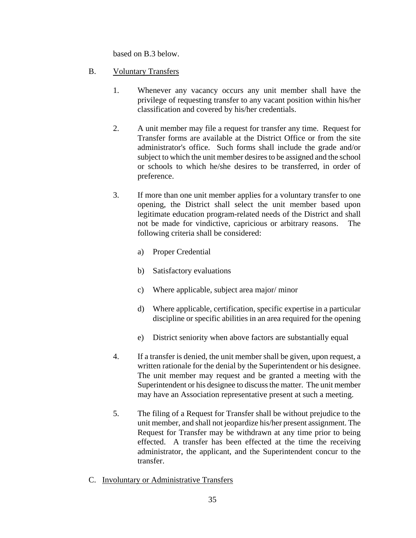based on B.3 below.

- B. Voluntary Transfers
	- 1. Whenever any vacancy occurs any unit member shall have the privilege of requesting transfer to any vacant position within his/her classification and covered by his/her credentials.
	- 2. A unit member may file a request for transfer any time. Request for Transfer forms are available at the District Office or from the site administrator's office. Such forms shall include the grade and/or subject to which the unit member desires to be assigned and the school or schools to which he/she desires to be transferred, in order of preference.
	- 3. If more than one unit member applies for a voluntary transfer to one opening, the District shall select the unit member based upon legitimate education program-related needs of the District and shall not be made for vindictive, capricious or arbitrary reasons. The following criteria shall be considered:
		- a) Proper Credential
		- b) Satisfactory evaluations
		- c) Where applicable, subject area major/ minor
		- d) Where applicable, certification, specific expertise in a particular discipline or specific abilities in an area required for the opening
		- e) District seniority when above factors are substantially equal
	- 4. If a transfer is denied, the unit member shall be given, upon request, a written rationale for the denial by the Superintendent or his designee. The unit member may request and be granted a meeting with the Superintendent or his designee to discuss the matter. The unit member may have an Association representative present at such a meeting.
	- 5. The filing of a Request for Transfer shall be without prejudice to the unit member, and shall not jeopardize his/her present assignment. The Request for Transfer may be withdrawn at any time prior to being effected. A transfer has been effected at the time the receiving administrator, the applicant, and the Superintendent concur to the transfer.
- C. Involuntary or Administrative Transfers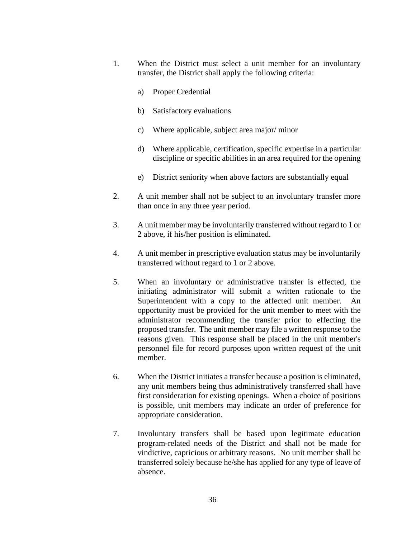- 1. When the District must select a unit member for an involuntary transfer, the District shall apply the following criteria:
	- a) Proper Credential
	- b) Satisfactory evaluations
	- c) Where applicable, subject area major/ minor
	- d) Where applicable, certification, specific expertise in a particular discipline or specific abilities in an area required for the opening
	- e) District seniority when above factors are substantially equal
- 2. A unit member shall not be subject to an involuntary transfer more than once in any three year period.
- 3. A unit member may be involuntarily transferred without regard to 1 or 2 above, if his/her position is eliminated.
- 4. A unit member in prescriptive evaluation status may be involuntarily transferred without regard to 1 or 2 above.
- 5. When an involuntary or administrative transfer is effected, the initiating administrator will submit a written rationale to the Superintendent with a copy to the affected unit member. An opportunity must be provided for the unit member to meet with the administrator recommending the transfer prior to effecting the proposed transfer. The unit member may file a written response to the reasons given. This response shall be placed in the unit member's personnel file for record purposes upon written request of the unit member.
- 6. When the District initiates a transfer because a position is eliminated, any unit members being thus administratively transferred shall have first consideration for existing openings. When a choice of positions is possible, unit members may indicate an order of preference for appropriate consideration.
- 7. Involuntary transfers shall be based upon legitimate education program-related needs of the District and shall not be made for vindictive, capricious or arbitrary reasons. No unit member shall be transferred solely because he/she has applied for any type of leave of absence.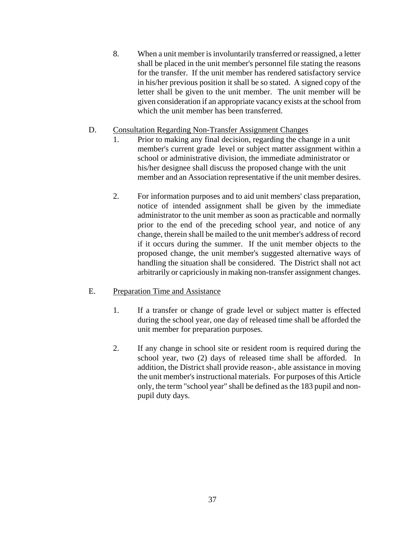8. When a unit member is involuntarily transferred or reassigned, a letter shall be placed in the unit member's personnel file stating the reasons for the transfer. If the unit member has rendered satisfactory service in his/her previous position it shall be so stated. A signed copy of the letter shall be given to the unit member. The unit member will be given consideration if an appropriate vacancy exists at the school from which the unit member has been transferred.

### D. Consultation Regarding Non-Transfer Assignment Changes

- 1. Prior to making any final decision, regarding the change in a unit member's current grade level or subject matter assignment within a school or administrative division, the immediate administrator or his/her designee shall discuss the proposed change with the unit member and an Association representative if the unit member desires.
- 2. For information purposes and to aid unit members' class preparation, notice of intended assignment shall be given by the immediate administrator to the unit member as soon as practicable and normally prior to the end of the preceding school year, and notice of any change, therein shall be mailed to the unit member's address of record if it occurs during the summer. If the unit member objects to the proposed change, the unit member's suggested alternative ways of handling the situation shall be considered. The District shall not act arbitrarily or capriciously in making non-transfer assignment changes.

# E. Preparation Time and Assistance

- 1. If a transfer or change of grade level or subject matter is effected during the school year, one day of released time shall be afforded the unit member for preparation purposes.
- 2. If any change in school site or resident room is required during the school year, two (2) days of released time shall be afforded. In addition, the District shall provide reason-, able assistance in moving the unit member's instructional materials. For purposes of this Article only, the term "school year" shall be defined as the 183 pupil and nonpupil duty days.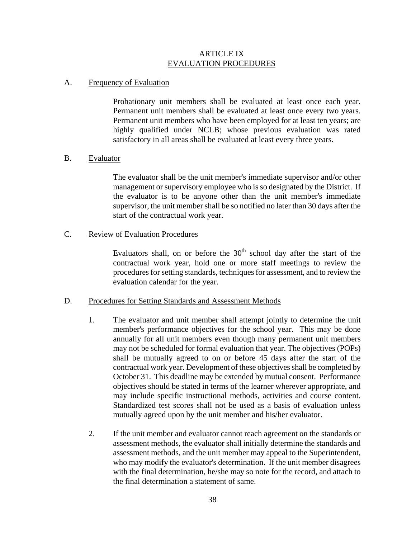### ARTICLE IX EVALUATION PROCEDURES

### A. Frequency of Evaluation

Probationary unit members shall be evaluated at least once each year. Permanent unit members shall be evaluated at least once every two years. Permanent unit members who have been employed for at least ten years; are highly qualified under NCLB; whose previous evaluation was rated satisfactory in all areas shall be evaluated at least every three years.

### B. Evaluator

The evaluator shall be the unit member's immediate supervisor and/or other management or supervisory employee who is so designated by the District. If the evaluator is to be anyone other than the unit member's immediate supervisor, the unit member shall be so notified no later than 30 days after the start of the contractual work year.

# C. Review of Evaluation Procedures

Evaluators shall, on or before the  $30<sup>th</sup>$  school day after the start of the contractual work year, hold one or more staff meetings to review the procedures for setting standards, techniques for assessment, and to review the evaluation calendar for the year.

### D. Procedures for Setting Standards and Assessment Methods

- 1. The evaluator and unit member shall attempt jointly to determine the unit member's performance objectives for the school year. This may be done annually for all unit members even though many permanent unit members may not be scheduled for formal evaluation that year. The objectives (POPs) shall be mutually agreed to on or before 45 days after the start of the contractual work year. Development of these objectives shall be completed by October 31. This deadline may be extended by mutual consent. Performance objectives should be stated in terms of the learner wherever appropriate, and may include specific instructional methods, activities and course content. Standardized test scores shall not be used as a basis of evaluation unless mutually agreed upon by the unit member and his/her evaluator.
- 2. If the unit member and evaluator cannot reach agreement on the standards or assessment methods, the evaluator shall initially determine the standards and assessment methods, and the unit member may appeal to the Superintendent, who may modify the evaluator's determination. If the unit member disagrees with the final determination, he/she may so note for the record, and attach to the final determination a statement of same.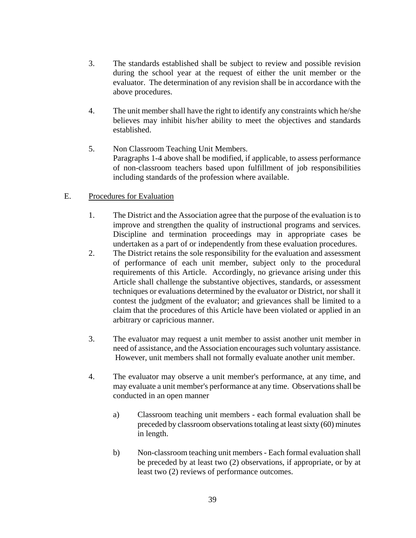- 3. The standards established shall be subject to review and possible revision during the school year at the request of either the unit member or the evaluator. The determination of any revision shall be in accordance with the above procedures.
- 4. The unit member shall have the right to identify any constraints which he/she believes may inhibit his/her ability to meet the objectives and standards established.
- 5. Non Classroom Teaching Unit Members. Paragraphs 1-4 above shall be modified, if applicable, to assess performance of non-classroom teachers based upon fulfillment of job responsibilities including standards of the profession where available.

# E. Procedures for Evaluation

- 1. The District and the Association agree that the purpose of the evaluation is to improve and strengthen the quality of instructional programs and services. Discipline and termination proceedings may in appropriate cases be undertaken as a part of or independently from these evaluation procedures.
- 2. The District retains the sole responsibility for the evaluation and assessment of performance of each unit member, subject only to the procedural requirements of this Article. Accordingly, no grievance arising under this Article shall challenge the substantive objectives, standards, or assessment techniques or evaluations determined by the evaluator or District, nor shall it contest the judgment of the evaluator; and grievances shall be limited to a claim that the procedures of this Article have been violated or applied in an arbitrary or capricious manner.
- 3. The evaluator may request a unit member to assist another unit member in need of assistance, and the Association encourages such voluntary assistance. However, unit members shall not formally evaluate another unit member.
- 4. The evaluator may observe a unit member's performance, at any time, and may evaluate a unit member's performance at any time. Observations shall be conducted in an open manner
	- a) Classroom teaching unit members each formal evaluation shall be preceded by classroom observations totaling at least sixty (60) minutes in length.
	- b) Non-classroom teaching unit members Each formal evaluation shall be preceded by at least two (2) observations, if appropriate, or by at least two (2) reviews of performance outcomes.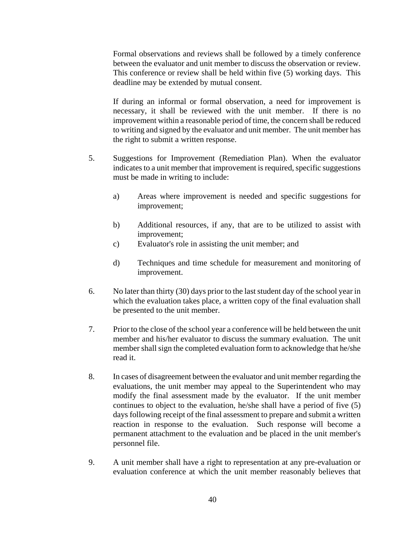Formal observations and reviews shall be followed by a timely conference between the evaluator and unit member to discuss the observation or review. This conference or review shall be held within five (5) working days. This deadline may be extended by mutual consent.

If during an informal or formal observation, a need for improvement is necessary, it shall be reviewed with the unit member. If there is no improvement within a reasonable period of time, the concern shall be reduced to writing and signed by the evaluator and unit member. The unit member has the right to submit a written response.

- 5. Suggestions for Improvement (Remediation Plan). When the evaluator indicates to a unit member that improvement is required, specific suggestions must be made in writing to include:
	- a) Areas where improvement is needed and specific suggestions for improvement;
	- b) Additional resources, if any, that are to be utilized to assist with improvement;
	- c) Evaluator's role in assisting the unit member; and
	- d) Techniques and time schedule for measurement and monitoring of improvement.
- 6. No later than thirty (30) days prior to the last student day of the school year in which the evaluation takes place, a written copy of the final evaluation shall be presented to the unit member.
- 7. Prior to the close of the school year a conference will be held between the unit member and his/her evaluator to discuss the summary evaluation. The unit member shall sign the completed evaluation form to acknowledge that he/she read it.
- 8. In cases of disagreement between the evaluator and unit member regarding the evaluations, the unit member may appeal to the Superintendent who may modify the final assessment made by the evaluator. If the unit member continues to object to the evaluation, he/she shall have a period of five (5) days following receipt of the final assessment to prepare and submit a written reaction in response to the evaluation. Such response will become a permanent attachment to the evaluation and be placed in the unit member's personnel file.
- 9. A unit member shall have a right to representation at any pre-evaluation or evaluation conference at which the unit member reasonably believes that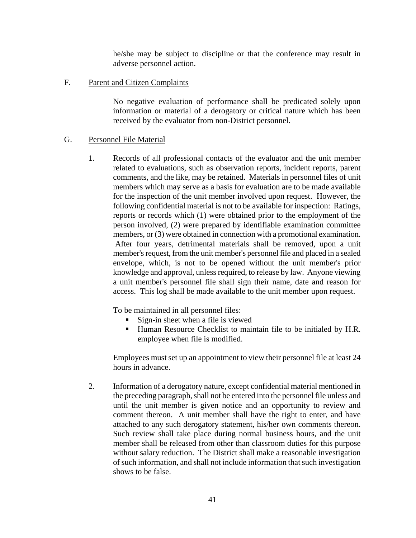he/she may be subject to discipline or that the conference may result in adverse personnel action.

F. Parent and Citizen Complaints

No negative evaluation of performance shall be predicated solely upon information or material of a derogatory or critical nature which has been received by the evaluator from non-District personnel.

### G. Personnel File Material

1. Records of all professional contacts of the evaluator and the unit member related to evaluations, such as observation reports, incident reports, parent comments, and the like, may be retained. Materials in personnel files of unit members which may serve as a basis for evaluation are to be made available for the inspection of the unit member involved upon request. However, the following confidential material is not to be available for inspection: Ratings, reports or records which (1) were obtained prior to the employment of the person involved, (2) were prepared by identifiable examination committee members, or (3) were obtained in connection with a promotional examination. After four years, detrimental materials shall be removed, upon a unit member's request, from the unit member's personnel file and placed in a sealed envelope, which, is not to be opened without the unit member's prior knowledge and approval, unless required, to release by law. Anyone viewing a unit member's personnel file shall sign their name, date and reason for access. This log shall be made available to the unit member upon request.

To be maintained in all personnel files:

- Sign-in sheet when a file is viewed
- Human Resource Checklist to maintain file to be initialed by H.R. employee when file is modified.

 Employees must set up an appointment to view their personnel file at least 24 hours in advance.

2. Information of a derogatory nature, except confidential material mentioned in the preceding paragraph, shall not be entered into the personnel file unless and until the unit member is given notice and an opportunity to review and comment thereon. A unit member shall have the right to enter, and have attached to any such derogatory statement, his/her own comments thereon. Such review shall take place during normal business hours, and the unit member shall be released from other than classroom duties for this purpose without salary reduction. The District shall make a reasonable investigation of such information, and shall not include information that such investigation shows to be false.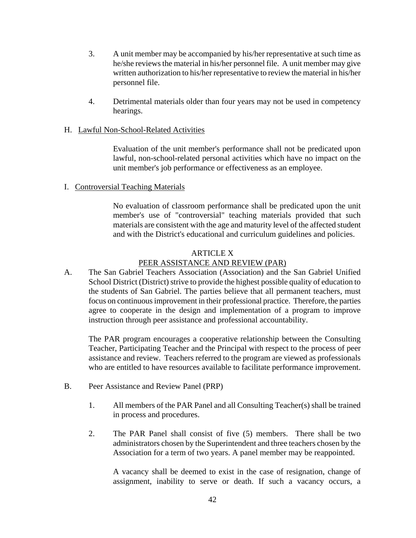- 3. A unit member may be accompanied by his/her representative at such time as he/she reviews the material in his/her personnel file. A unit member may give written authorization to his/her representative to review the material in his/her personnel file.
- 4. Detrimental materials older than four years may not be used in competency hearings.

### H. Lawful Non-School-Related Activities

Evaluation of the unit member's performance shall not be predicated upon lawful, non-school-related personal activities which have no impact on the unit member's job performance or effectiveness as an employee.

### I. Controversial Teaching Materials

No evaluation of classroom performance shall be predicated upon the unit member's use of "controversial" teaching materials provided that such materials are consistent with the age and maturity level of the affected student and with the District's educational and curriculum guidelines and policies.

#### ARTICLE X

### PEER ASSISTANCE AND REVIEW (PAR)

A. The San Gabriel Teachers Association (Association) and the San Gabriel Unified School District (District) strive to provide the highest possible quality of education to the students of San Gabriel. The parties believe that all permanent teachers, must focus on continuous improvement in their professional practice. Therefore, the parties agree to cooperate in the design and implementation of a program to improve instruction through peer assistance and professional accountability.

The PAR program encourages a cooperative relationship between the Consulting Teacher, Participating Teacher and the Principal with respect to the process of peer assistance and review. Teachers referred to the program are viewed as professionals who are entitled to have resources available to facilitate performance improvement.

- B. Peer Assistance and Review Panel (PRP)
	- 1. All members of the PAR Panel and all Consulting Teacher(s) shall be trained in process and procedures.
	- 2. The PAR Panel shall consist of five (5) members. There shall be two administrators chosen by the Superintendent and three teachers chosen by the Association for a term of two years. A panel member may be reappointed.

A vacancy shall be deemed to exist in the case of resignation, change of assignment, inability to serve or death. If such a vacancy occurs, a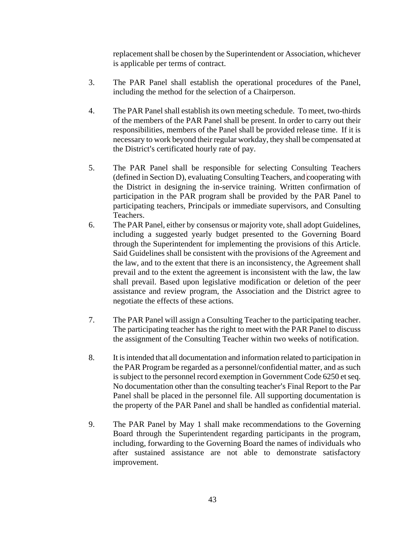replacement shall be chosen by the Superintendent or Association, whichever is applicable per terms of contract.

- 3. The PAR Panel shall establish the operational procedures of the Panel, including the method for the selection of a Chairperson.
- 4. The PAR Panel shall establish its own meeting schedule. To meet, two-thirds of the members of the PAR Panel shall be present. In order to carry out their responsibilities, members of the Panel shall be provided release time. If it is necessary to work beyond their regular workday, they shall be compensated at the District's certificated hourly rate of pay.
- 5. The PAR Panel shall be responsible for selecting Consulting Teachers (defined in Section D), evaluating Consulting Teachers, and cooperating with the District in designing the in-service training. Written confirmation of participation in the PAR program shall be provided by the PAR Panel to participating teachers, Principals or immediate supervisors, and Consulting Teachers.
- 6. The PAR Panel, either by consensus or majority vote, shall adopt Guidelines, including a suggested yearly budget presented to the Governing Board through the Superintendent for implementing the provisions of this Article. Said Guidelines shall be consistent with the provisions of the Agreement and the law, and to the extent that there is an inconsistency, the Agreement shall prevail and to the extent the agreement is inconsistent with the law, the law shall prevail. Based upon legislative modification or deletion of the peer assistance and review program, the Association and the District agree to negotiate the effects of these actions.
- 7. The PAR Panel will assign a Consulting Teacher to the participating teacher. The participating teacher has the right to meet with the PAR Panel to discuss the assignment of the Consulting Teacher within two weeks of notification.
- 8. It is intended that all documentation and information related to participation in the PAR Program be regarded as a personnel/confidential matter, and as such is subject to the personnel record exemption in Government Code 6250 et seq. No documentation other than the consulting teacher's Final Report to the Par Panel shall be placed in the personnel file. All supporting documentation is the property of the PAR Panel and shall be handled as confidential material.
- 9. The PAR Panel by May 1 shall make recommendations to the Governing Board through the Superintendent regarding participants in the program, including, forwarding to the Governing Board the names of individuals who after sustained assistance are not able to demonstrate satisfactory improvement.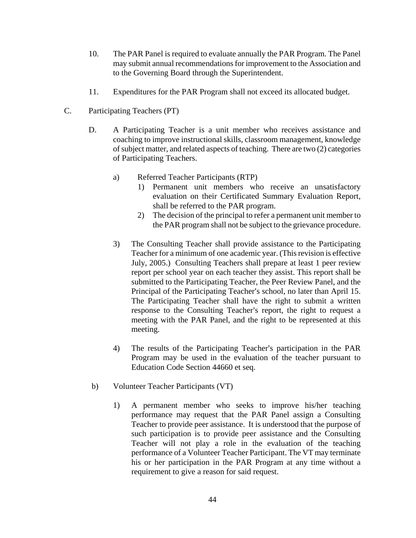- 10. The PAR Panel is required to evaluate annually the PAR Program. The Panel may submit annual recommendations for improvement to the Association and to the Governing Board through the Superintendent.
- 11. Expenditures for the PAR Program shall not exceed its allocated budget.
- C. Participating Teachers (PT)
	- D. A Participating Teacher is a unit member who receives assistance and coaching to improve instructional skills, classroom management, knowledge of subject matter, and related aspects of teaching. There are two (2) categories of Participating Teachers.
		- a) Referred Teacher Participants (RTP)
			- 1) Permanent unit members who receive an unsatisfactory evaluation on their Certificated Summary Evaluation Report, shall be referred to the PAR program.
			- 2) The decision of the principal to refer a permanent unit member to the PAR program shall not be subject to the grievance procedure.
		- 3) The Consulting Teacher shall provide assistance to the Participating Teacher for a minimum of one academic year. (This revision is effective July, 2005.) Consulting Teachers shall prepare at least 1 peer review report per school year on each teacher they assist. This report shall be submitted to the Participating Teacher, the Peer Review Panel, and the Principal of the Participating Teacher's school, no later than April 15. The Participating Teacher shall have the right to submit a written response to the Consulting Teacher's report, the right to request a meeting with the PAR Panel, and the right to be represented at this meeting.
		- 4) The results of the Participating Teacher's participation in the PAR Program may be used in the evaluation of the teacher pursuant to Education Code Section 44660 et seq.
	- b) Volunteer Teacher Participants (VT)
		- 1) A permanent member who seeks to improve his/her teaching performance may request that the PAR Panel assign a Consulting Teacher to provide peer assistance. It is understood that the purpose of such participation is to provide peer assistance and the Consulting Teacher will not play a role in the evaluation of the teaching performance of a Volunteer Teacher Participant. The VT may terminate his or her participation in the PAR Program at any time without a requirement to give a reason for said request.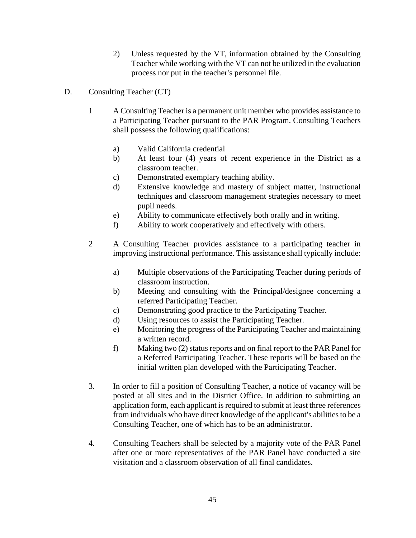- 2) Unless requested by the VT, information obtained by the Consulting Teacher while working with the VT can not be utilized in the evaluation process nor put in the teacher's personnel file.
- D. Consulting Teacher (CT)
	- 1 A Consulting Teacher is a permanent unit member who provides assistance to a Participating Teacher pursuant to the PAR Program. Consulting Teachers shall possess the following qualifications:
		- a) Valid California credential
		- b) At least four (4) years of recent experience in the District as a classroom teacher.
		- c) Demonstrated exemplary teaching ability.
		- d) Extensive knowledge and mastery of subject matter, instructional techniques and classroom management strategies necessary to meet pupil needs.
		- e) Ability to communicate effectively both orally and in writing.
		- f) Ability to work cooperatively and effectively with others.
	- 2 A Consulting Teacher provides assistance to a participating teacher in improving instructional performance. This assistance shall typically include:
		- a) Multiple observations of the Participating Teacher during periods of classroom instruction.
		- b) Meeting and consulting with the Principal/designee concerning a referred Participating Teacher.
		- c) Demonstrating good practice to the Participating Teacher.
		- d) Using resources to assist the Participating Teacher.
		- e) Monitoring the progress of the Participating Teacher and maintaining a written record.
		- f) Making two (2) status reports and on final report to the PAR Panel for a Referred Participating Teacher. These reports will be based on the initial written plan developed with the Participating Teacher.
	- 3. In order to fill a position of Consulting Teacher, a notice of vacancy will be posted at all sites and in the District Office. In addition to submitting an application form, each applicant is required to submit at least three references from individuals who have direct knowledge of the applicant's abilities to be a Consulting Teacher, one of which has to be an administrator.
	- 4. Consulting Teachers shall be selected by a majority vote of the PAR Panel after one or more representatives of the PAR Panel have conducted a site visitation and a classroom observation of all final candidates.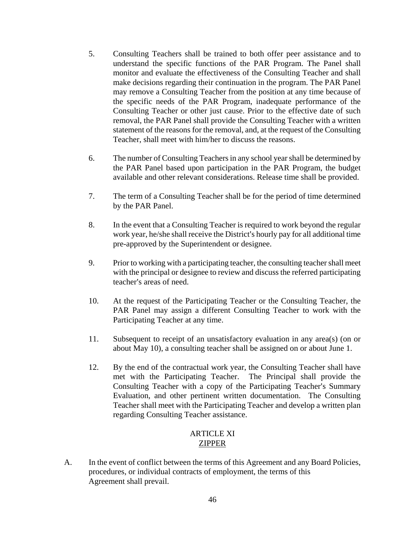- 5. Consulting Teachers shall be trained to both offer peer assistance and to understand the specific functions of the PAR Program. The Panel shall monitor and evaluate the effectiveness of the Consulting Teacher and shall make decisions regarding their continuation in the program. The PAR Panel may remove a Consulting Teacher from the position at any time because of the specific needs of the PAR Program, inadequate performance of the Consulting Teacher or other just cause. Prior to the effective date of such removal, the PAR Panel shall provide the Consulting Teacher with a written statement of the reasons for the removal, and, at the request of the Consulting Teacher, shall meet with him/her to discuss the reasons.
- 6. The number of Consulting Teachers in any school year shall be determined by the PAR Panel based upon participation in the PAR Program, the budget available and other relevant considerations. Release time shall be provided.
- 7. The term of a Consulting Teacher shall be for the period of time determined by the PAR Panel.
- 8. In the event that a Consulting Teacher is required to work beyond the regular work year, he/she shall receive the District's hourly pay for all additional time pre-approved by the Superintendent or designee.
- 9. Prior to working with a participating teacher, the consulting teacher shall meet with the principal or designee to review and discuss the referred participating teacher's areas of need.
- 10. At the request of the Participating Teacher or the Consulting Teacher, the PAR Panel may assign a different Consulting Teacher to work with the Participating Teacher at any time.
- 11. Subsequent to receipt of an unsatisfactory evaluation in any area(s) (on or about May 10), a consulting teacher shall be assigned on or about June 1.
- 12. By the end of the contractual work year, the Consulting Teacher shall have met with the Participating Teacher. The Principal shall provide the Consulting Teacher with a copy of the Participating Teacher's Summary Evaluation, and other pertinent written documentation. The Consulting Teacher shall meet with the Participating Teacher and develop a written plan regarding Consulting Teacher assistance.

# ARTICLE XI ZIPPER

A. In the event of conflict between the terms of this Agreement and any Board Policies, procedures, or individual contracts of employment, the terms of this Agreement shall prevail.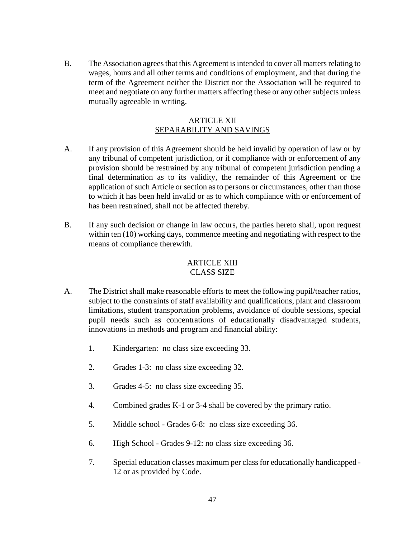B. The Association agrees that this Agreement is intended to cover all matters relating to wages, hours and all other terms and conditions of employment, and that during the term of the Agreement neither the District nor the Association will be required to meet and negotiate on any further matters affecting these or any other subjects unless mutually agreeable in writing.

#### ARTICLE XII SEPARABILITY AND SAVINGS

- A. If any provision of this Agreement should be held invalid by operation of law or by any tribunal of competent jurisdiction, or if compliance with or enforcement of any provision should be restrained by any tribunal of competent jurisdiction pending a final determination as to its validity, the remainder of this Agreement or the application of such Article or section as to persons or circumstances, other than those to which it has been held invalid or as to which compliance with or enforcement of has been restrained, shall not be affected thereby.
- B. If any such decision or change in law occurs, the parties hereto shall, upon request within ten (10) working days, commence meeting and negotiating with respect to the means of compliance therewith.

#### ARTICLE XIII CLASS SIZE

- A. The District shall make reasonable efforts to meet the following pupil/teacher ratios, subject to the constraints of staff availability and qualifications, plant and classroom limitations, student transportation problems, avoidance of double sessions, special pupil needs such as concentrations of educationally disadvantaged students, innovations in methods and program and financial ability:
	- 1. Kindergarten: no class size exceeding 33.
	- 2. Grades 1-3: no class size exceeding 32.
	- 3. Grades 4-5: no class size exceeding 35.
	- 4. Combined grades K-1 or 3-4 shall be covered by the primary ratio.
	- 5. Middle school Grades 6-8: no class size exceeding 36.
	- 6. High School Grades 9-12: no class size exceeding 36.
	- 7. Special education classes maximum per class for educationally handicapped 12 or as provided by Code.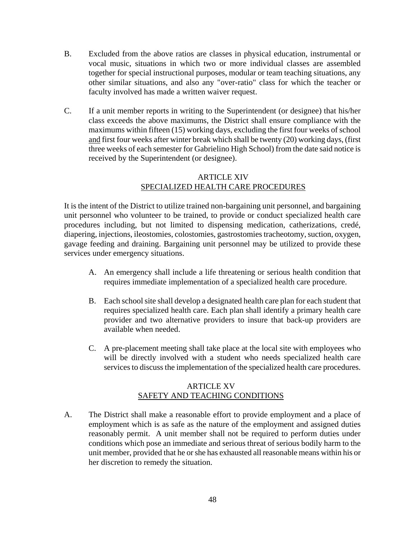- B. Excluded from the above ratios are classes in physical education, instrumental or vocal music, situations in which two or more individual classes are assembled together for special instructional purposes, modular or team teaching situations, any other similar situations, and also any "over-ratio" class for which the teacher or faculty involved has made a written waiver request.
- C. If a unit member reports in writing to the Superintendent (or designee) that his/her class exceeds the above maximums, the District shall ensure compliance with the maximums within fifteen (15) working days, excluding the first four weeks of school and first four weeks after winter break which shall be twenty (20) working days, (first three weeks of each semester for Gabrielino High School) from the date said notice is received by the Superintendent (or designee).

# ARTICLE XIV SPECIALIZED HEALTH CARE PROCEDURES

It is the intent of the District to utilize trained non-bargaining unit personnel, and bargaining unit personnel who volunteer to be trained, to provide or conduct specialized health care procedures including, but not limited to dispensing medication, catherizations, credé, diapering, injections, ileostomies, colostomies, gastrostomies tracheotomy, suction, oxygen, gavage feeding and draining. Bargaining unit personnel may be utilized to provide these services under emergency situations.

- A. An emergency shall include a life threatening or serious health condition that requires immediate implementation of a specialized health care procedure.
- B. Each school site shall develop a designated health care plan for each student that requires specialized health care. Each plan shall identify a primary health care provider and two alternative providers to insure that back-up providers are available when needed.
- C. A pre-placement meeting shall take place at the local site with employees who will be directly involved with a student who needs specialized health care services to discuss the implementation of the specialized health care procedures.

# **ARTICLE XV** SAFETY AND TEACHING CONDITIONS

A. The District shall make a reasonable effort to provide employment and a place of employment which is as safe as the nature of the employment and assigned duties reasonably permit. A unit member shall not be required to perform duties under conditions which pose an immediate and serious threat of serious bodily harm to the unit member, provided that he or she has exhausted all reasonable means within his or her discretion to remedy the situation.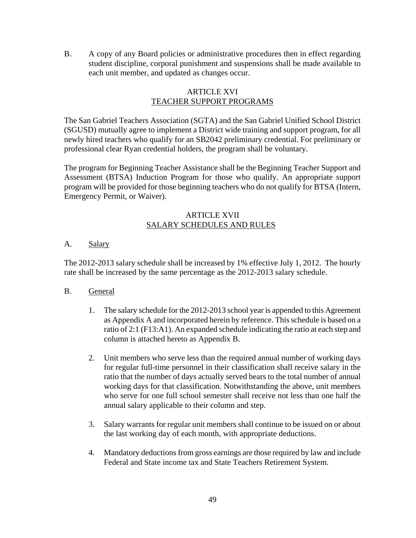B. A copy of any Board policies or administrative procedures then in effect regarding student discipline, corporal punishment and suspensions shall be made available to each unit member, and updated as changes occur.

# ARTICLE XVI TEACHER SUPPORT PROGRAMS

The San Gabriel Teachers Association (SGTA) and the San Gabriel Unified School District (SGUSD) mutually agree to implement a District wide training and support program, for all newly hired teachers who qualify for an SB2042 preliminary credential. For preliminary or professional clear Ryan credential holders, the program shall be voluntary.

The program for Beginning Teacher Assistance shall be the Beginning Teacher Support and Assessment (BTSA) Induction Program for those who qualify. An appropriate support program will be provided for those beginning teachers who do not qualify for BTSA (Intern, Emergency Permit, or Waiver).

### ARTICLE XVII SALARY SCHEDULES AND RULES

# A. Salary

The 2012-2013 salary schedule shall be increased by 1% effective July 1, 2012. The hourly rate shall be increased by the same percentage as the 2012-2013 salary schedule.

# B. General

- 1. The salary schedule for the 2012-2013 school year is appended to this Agreement as Appendix A and incorporated herein by reference. This schedule is based on a ratio of 2:1 (F13:A1). An expanded schedule indicating the ratio at each step and column is attached hereto as Appendix B.
- 2. Unit members who serve less than the required annual number of working days for regular full-time personnel in their classification shall receive salary in the ratio that the number of days actually served bears to the total number of annual working days for that classification. Notwithstanding the above, unit members who serve for one full school semester shall receive not less than one half the annual salary applicable to their column and step.
- 3. Salary warrants for regular unit members shall continue to be issued on or about the last working day of each month, with appropriate deductions.
- 4. Mandatory deductions from gross earnings are those required by law and include Federal and State income tax and State Teachers Retirement System.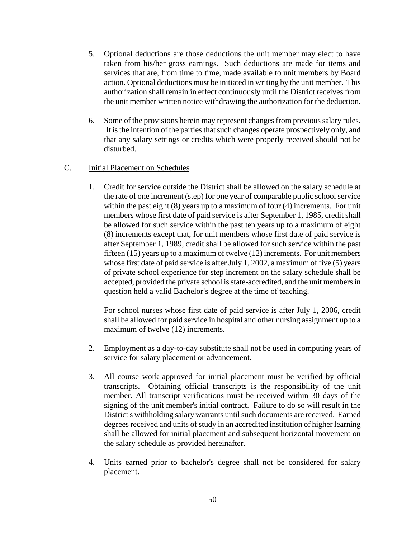- 5. Optional deductions are those deductions the unit member may elect to have taken from his/her gross earnings. Such deductions are made for items and services that are, from time to time, made available to unit members by Board action. Optional deductions must be initiated in writing by the unit member. This authorization shall remain in effect continuously until the District receives from the unit member written notice withdrawing the authorization for the deduction.
- 6. Some of the provisions herein may represent changes from previous salary rules. It is the intention of the parties that such changes operate prospectively only, and that any salary settings or credits which were properly received should not be disturbed.

### C. Initial Placement on Schedules

1. Credit for service outside the District shall be allowed on the salary schedule at the rate of one increment (step) for one year of comparable public school service within the past eight (8) years up to a maximum of four (4) increments. For unit members whose first date of paid service is after September 1, 1985, credit shall be allowed for such service within the past ten years up to a maximum of eight (8) increments except that, for unit members whose first date of paid service is after September 1, 1989, credit shall be allowed for such service within the past fifteen (15) years up to a maximum of twelve (12) increments. For unit members whose first date of paid service is after July 1, 2002, a maximum of five (5) years of private school experience for step increment on the salary schedule shall be accepted, provided the private school is state-accredited, and the unit members in question held a valid Bachelor's degree at the time of teaching.

For school nurses whose first date of paid service is after July 1, 2006, credit shall be allowed for paid service in hospital and other nursing assignment up to a maximum of twelve (12) increments.

- 2. Employment as a day-to-day substitute shall not be used in computing years of service for salary placement or advancement.
- 3. All course work approved for initial placement must be verified by official transcripts. Obtaining official transcripts is the responsibility of the unit member. All transcript verifications must be received within 30 days of the signing of the unit member's initial contract. Failure to do so will result in the District's withholding salary warrants until such documents are received. Earned degrees received and units of study in an accredited institution of higher learning shall be allowed for initial placement and subsequent horizontal movement on the salary schedule as provided hereinafter.
- 4. Units earned prior to bachelor's degree shall not be considered for salary placement.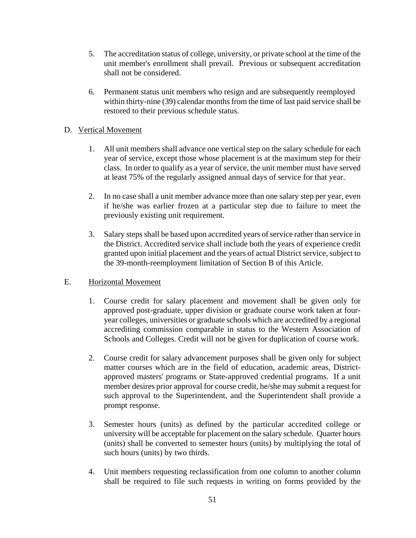- 5. The accreditation status of college, university, or private school at the time of the unit member's enrollment shall prevail. Previous or subsequent accreditation shall not be considered.
- 6. Permanent status unit members who resign and are subsequently reemployed within thirty-nine (39) calendar months from the time of last paid service shall be restored to their previous schedule status.

# D. Vertical Movement

- 1. All unit members shall advance one vertical step on the salary schedule for each year of service, except those whose placement is at the maximum step for their class. In order to qualify as a year of service, the unit member must have served at least 75% of the regularly assigned annual days of service for that year.
- 2. In no case shall a unit member advance more than one salary step per year, even if he/she was earlier frozen at a particular step due to failure to meet the previously existing unit requirement.
- 3. Salary steps shall be based upon accredited years of service rather than service in the District. Accredited service shall include both the years of experience credit granted upon initial placement and the years of actual District service, subject to the 39-month-reemployment limitation of Section B of this Article.

### E. Horizontal Movement

- 1. Course credit for salary placement and movement shall be given only for approved post-graduate, upper division or graduate course work taken at fouryear colleges, universities or graduate schools which are accredited by a regional accrediting commission comparable in status to the Western Association of Schools and Colleges. Credit will not be given for duplication of course work.
- 2. Course credit for salary advancement purposes shall be given only for subject matter courses which are in the field of education, academic areas, Districtapproved masters' programs or State-approved credential programs. If a unit member desires prior approval for course credit, he/she may submit a request for such approval to the Superintendent, and the Superintendent shall provide a prompt response.
- 3. Semester hours (units) as defined by the particular accredited college or university will be acceptable for placement on the salary schedule. Quarter hours (units) shall be converted to semester hours (units) by multiplying the total of such hours (units) by two thirds.
- 4. Unit members requesting reclassification from one column to another column shall be required to file such requests in writing on forms provided by the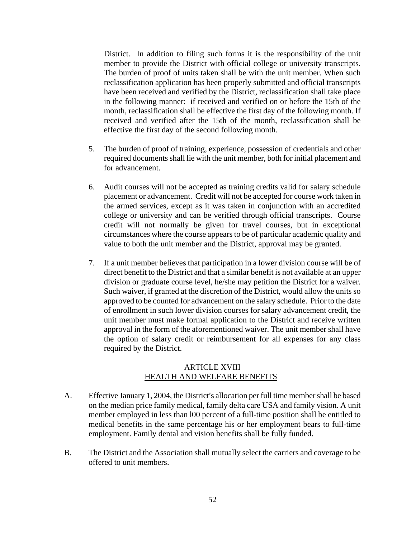District. In addition to filing such forms it is the responsibility of the unit member to provide the District with official college or university transcripts. The burden of proof of units taken shall be with the unit member. When such reclassification application has been properly submitted and official transcripts have been received and verified by the District, reclassification shall take place in the following manner: if received and verified on or before the 15th of the month, reclassification shall be effective the first day of the following month. If received and verified after the 15th of the month, reclassification shall be effective the first day of the second following month.

- 5. The burden of proof of training, experience, possession of credentials and other required documents shall lie with the unit member, both for initial placement and for advancement.
- 6. Audit courses will not be accepted as training credits valid for salary schedule placement or advancement. Credit will not be accepted for course work taken in the armed services, except as it was taken in conjunction with an accredited college or university and can be verified through official transcripts. Course credit will not normally be given for travel courses, but in exceptional circumstances where the course appears to be of particular academic quality and value to both the unit member and the District, approval may be granted.
- 7. If a unit member believes that participation in a lower division course will be of direct benefit to the District and that a similar benefit is not available at an upper division or graduate course level, he/she may petition the District for a waiver. Such waiver, if granted at the discretion of the District, would allow the units so approved to be counted for advancement on the salary schedule. Prior to the date of enrollment in such lower division courses for salary advancement credit, the unit member must make formal application to the District and receive written approval in the form of the aforementioned waiver. The unit member shall have the option of salary credit or reimbursement for all expenses for any class required by the District.

### ARTICLE XVIII HEALTH AND WELFARE BENEFITS

- A. Effective January 1, 2004, the District's allocation per full time member shall be based on the median price family medical, family delta care USA and family vision. A unit member employed in less than l00 percent of a full-time position shall be entitled to medical benefits in the same percentage his or her employment bears to full-time employment. Family dental and vision benefits shall be fully funded.
- B. The District and the Association shall mutually select the carriers and coverage to be offered to unit members.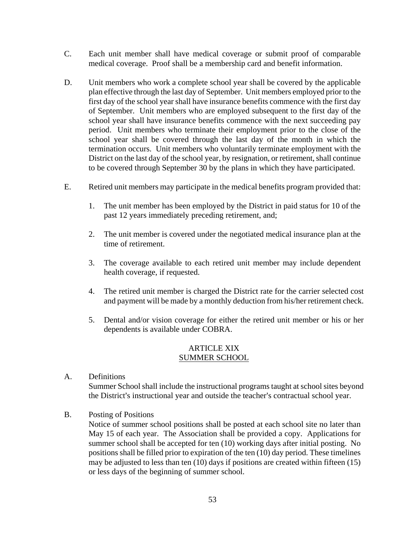- C. Each unit member shall have medical coverage or submit proof of comparable medical coverage. Proof shall be a membership card and benefit information.
- D. Unit members who work a complete school year shall be covered by the applicable plan effective through the last day of September. Unit members employed prior to the first day of the school year shall have insurance benefits commence with the first day of September. Unit members who are employed subsequent to the first day of the school year shall have insurance benefits commence with the next succeeding pay period. Unit members who terminate their employment prior to the close of the school year shall be covered through the last day of the month in which the termination occurs. Unit members who voluntarily terminate employment with the District on the last day of the school year, by resignation, or retirement, shall continue to be covered through September 30 by the plans in which they have participated.
- E. Retired unit members may participate in the medical benefits program provided that:
	- 1. The unit member has been employed by the District in paid status for 10 of the past 12 years immediately preceding retirement, and;
	- 2. The unit member is covered under the negotiated medical insurance plan at the time of retirement.
	- 3. The coverage available to each retired unit member may include dependent health coverage, if requested.
	- 4. The retired unit member is charged the District rate for the carrier selected cost and payment will be made by a monthly deduction from his/her retirement check.
	- 5. Dental and/or vision coverage for either the retired unit member or his or her dependents is available under COBRA.

#### ARTICLE XIX SUMMER SCHOOL

- A. Definitions Summer School shall include the instructional programs taught at school sites beyond the District's instructional year and outside the teacher's contractual school year.
- B. Posting of Positions

Notice of summer school positions shall be posted at each school site no later than May 15 of each year. The Association shall be provided a copy. Applications for summer school shall be accepted for ten (10) working days after initial posting. No positions shall be filled prior to expiration of the ten (10) day period. These timelines may be adjusted to less than ten (10) days if positions are created within fifteen (15) or less days of the beginning of summer school.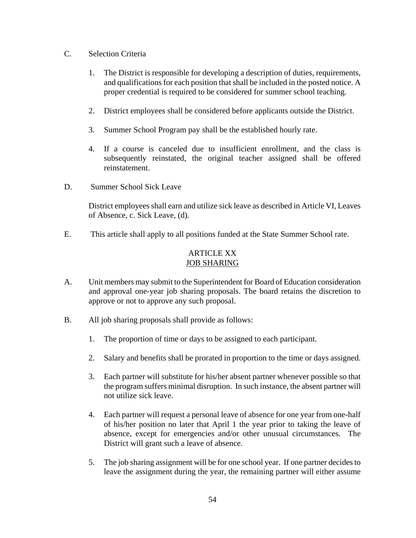- C. Selection Criteria
	- 1. The District is responsible for developing a description of duties, requirements, and qualifications for each position that shall be included in the posted notice. A proper credential is required to be considered for summer school teaching.
	- 2. District employees shall be considered before applicants outside the District.
	- 3. Summer School Program pay shall be the established hourly rate.
	- 4. If a course is canceled due to insufficient enrollment, and the class is subsequently reinstated, the original teacher assigned shall be offered reinstatement.
- D. Summer School Sick Leave

District employees shall earn and utilize sick leave as described in Article VI, Leaves of Absence, c. Sick Leave, (d).

E. This article shall apply to all positions funded at the State Summer School rate.

# ARTICLE XX JOB SHARING

- A. Unit members may submit to the Superintendent for Board of Education consideration and approval one-year job sharing proposals. The board retains the discretion to approve or not to approve any such proposal.
- B. All job sharing proposals shall provide as follows:
	- 1. The proportion of time or days to be assigned to each participant.
	- 2. Salary and benefits shall be prorated in proportion to the time or days assigned.
	- 3. Each partner will substitute for his/her absent partner whenever possible so that the program suffers minimal disruption. In such instance, the absent partner will not utilize sick leave.
	- 4. Each partner will request a personal leave of absence for one year from one-half of his/her position no later that April 1 the year prior to taking the leave of absence, except for emergencies and/or other unusual circumstances. The District will grant such a leave of absence.
	- 5. The job sharing assignment will be for one school year. If one partner decides to leave the assignment during the year, the remaining partner will either assume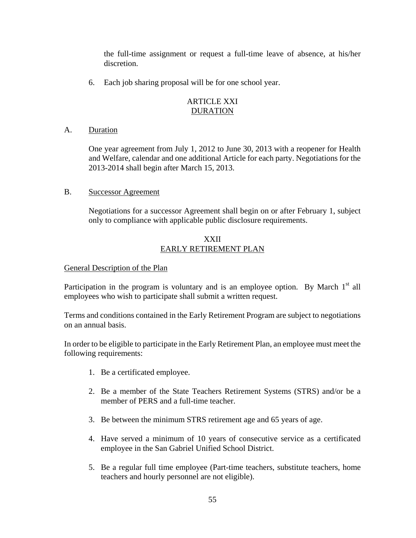the full-time assignment or request a full-time leave of absence, at his/her discretion.

6. Each job sharing proposal will be for one school year.

# ARTICLE XXI DURATION

# A. Duration

One year agreement from July 1, 2012 to June 30, 2013 with a reopener for Health and Welfare, calendar and one additional Article for each party. Negotiations for the 2013-2014 shall begin after March 15, 2013.

### B. Successor Agreement

Negotiations for a successor Agreement shall begin on or after February 1, subject only to compliance with applicable public disclosure requirements.

# XXII EARLY RETIREMENT PLAN

# General Description of the Plan

Participation in the program is voluntary and is an employee option. By March  $1<sup>st</sup>$  all employees who wish to participate shall submit a written request.

Terms and conditions contained in the Early Retirement Program are subject to negotiations on an annual basis.

In order to be eligible to participate in the Early Retirement Plan, an employee must meet the following requirements:

- 1. Be a certificated employee.
- 2. Be a member of the State Teachers Retirement Systems (STRS) and/or be a member of PERS and a full-time teacher.
- 3. Be between the minimum STRS retirement age and 65 years of age.
- 4. Have served a minimum of 10 years of consecutive service as a certificated employee in the San Gabriel Unified School District.
- 5. Be a regular full time employee (Part-time teachers, substitute teachers, home teachers and hourly personnel are not eligible).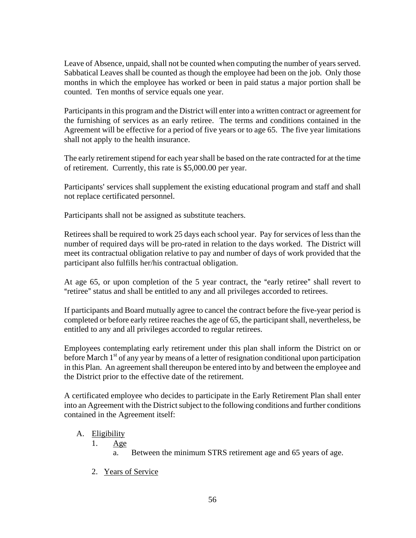Leave of Absence, unpaid, shall not be counted when computing the number of years served. Sabbatical Leaves shall be counted as though the employee had been on the job. Only those months in which the employee has worked or been in paid status a major portion shall be counted. Ten months of service equals one year.

Participants in this program and the District will enter into a written contract or agreement for the furnishing of services as an early retiree. The terms and conditions contained in the Agreement will be effective for a period of five years or to age 65. The five year limitations shall not apply to the health insurance.

The early retirement stipend for each year shall be based on the rate contracted for at the time of retirement. Currently, this rate is \$5,000.00 per year.

Participants' services shall supplement the existing educational program and staff and shall not replace certificated personnel.

Participants shall not be assigned as substitute teachers.

Retirees shall be required to work 25 days each school year. Pay for services of less than the number of required days will be pro-rated in relation to the days worked. The District will meet its contractual obligation relative to pay and number of days of work provided that the participant also fulfills her/his contractual obligation.

At age  $65$ , or upon completion of the 5 year contract, the "early retiree" shall revert to "retiree" status and shall be entitled to any and all privileges accorded to retirees.

If participants and Board mutually agree to cancel the contract before the five-year period is completed or before early retiree reaches the age of 65, the participant shall, nevertheless, be entitled to any and all privileges accorded to regular retirees.

Employees contemplating early retirement under this plan shall inform the District on or before March  $1<sup>st</sup>$  of any year by means of a letter of resignation conditional upon participation in this Plan. An agreement shall thereupon be entered into by and between the employee and the District prior to the effective date of the retirement.

A certificated employee who decides to participate in the Early Retirement Plan shall enter into an Agreement with the District subject to the following conditions and further conditions contained in the Agreement itself:

# A. Eligibility

- 1. Age
	- a. Between the minimum STRS retirement age and 65 years of age.
- 2. Years of Service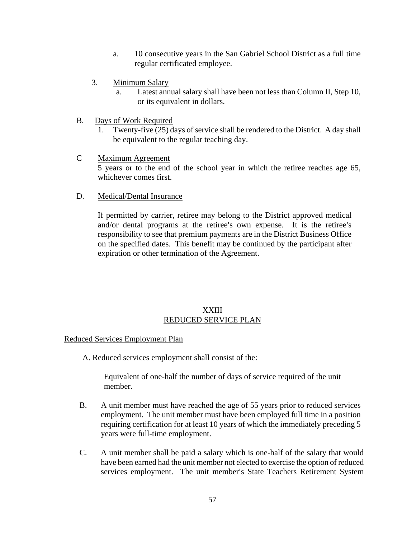- a. 10 consecutive years in the San Gabriel School District as a full time regular certificated employee.
- 3. Minimum Salary
	- a. Latest annual salary shall have been not less than Column II, Step 10, or its equivalent in dollars.
- B. Days of Work Required
	- 1. Twenty-five (25) days of service shall be rendered to the District. A day shall be equivalent to the regular teaching day.
- C Maximum Agreement 5 years or to the end of the school year in which the retiree reaches age 65, whichever comes first.
- D. Medical/Dental Insurance

If permitted by carrier, retiree may belong to the District approved medical and/or dental programs at the retiree's own expense. It is the retiree's responsibility to see that premium payments are in the District Business Office on the specified dates. This benefit may be continued by the participant after expiration or other termination of the Agreement.

# XXIII REDUCED SERVICE PLAN

Reduced Services Employment Plan

A. Reduced services employment shall consist of the:

Equivalent of one-half the number of days of service required of the unit member.

- B. A unit member must have reached the age of 55 years prior to reduced services employment. The unit member must have been employed full time in a position requiring certification for at least 10 years of which the immediately preceding 5 years were full-time employment.
- C. A unit member shall be paid a salary which is one-half of the salary that would have been earned had the unit member not elected to exercise the option of reduced services employment. The unit member's State Teachers Retirement System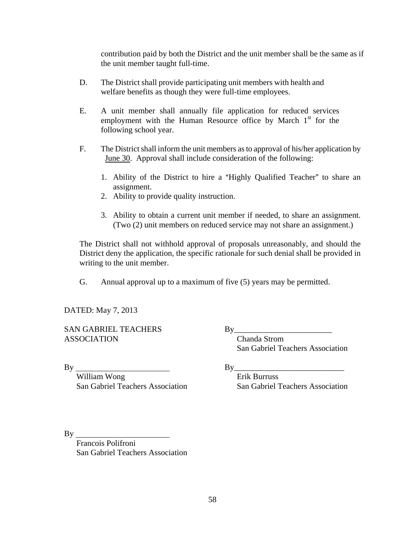contribution paid by both the District and the unit member shall be the same as if the unit member taught full-time.

- D. The District shall provide participating unit members with health and welfare benefits as though they were full-time employees.
- E. A unit member shall annually file application for reduced services employment with the Human Resource office by March  $1<sup>st</sup>$  for the following school year.
- F. The District shall inform the unit members as to approval of his/her application by June 30. Approval shall include consideration of the following:
	- 1. Ability of the District to hire a "Highly Qualified Teacher" to share an assignment.
	- 2. Ability to provide quality instruction.
	- 3. Ability to obtain a current unit member if needed, to share an assignment. (Two (2) unit members on reduced service may not share an assignment.)

The District shall not withhold approval of proposals unreasonably, and should the District deny the application, the specific rationale for such denial shall be provided in writing to the unit member.

G. Annual approval up to a maximum of five (5) years may be permitted.

DATED: May 7, 2013

SAN GABRIEL TEACHERS ASSOCIATION

By

William Wong San Gabriel Teachers Association  $By$ 

 Chanda Strom San Gabriel Teachers Association

 $\mathbf{B}\mathbf{v}$ 

 Erik Burruss San Gabriel Teachers Association

By

Francois Polifroni San Gabriel Teachers Association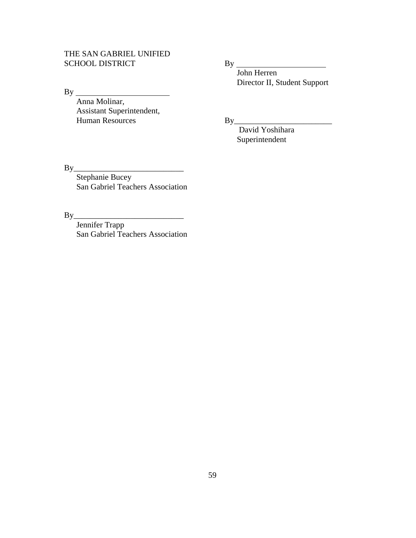# THE SAN GABRIEL UNIFIED SCHOOL DISTRICT

By Anna Molinar, Assistant Superintendent, Human Resources

By

 John Herren Director II, Student Support

By\_\_\_\_\_\_\_\_\_\_\_\_\_\_\_\_\_\_\_\_\_\_\_\_

 David Yoshihara Superintendent

 $By$ 

 Stephanie Bucey San Gabriel Teachers Association

 $By$ 

 Jennifer Trapp San Gabriel Teachers Association